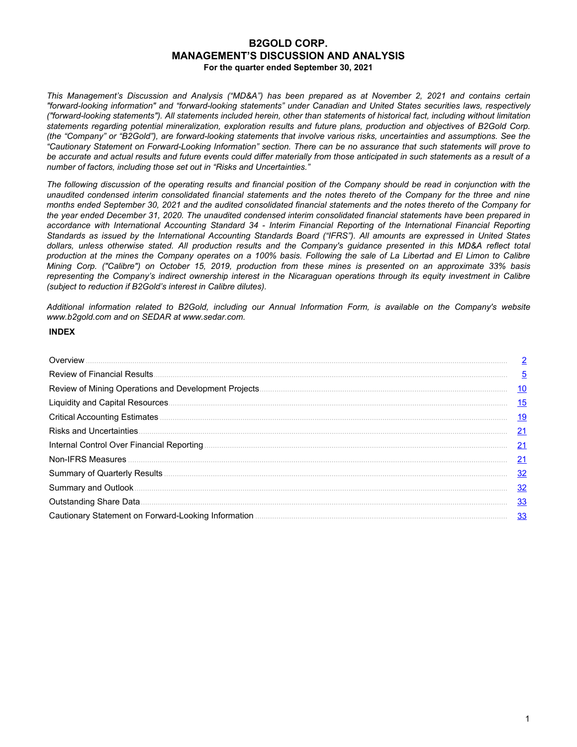# **B2GOLD CORP. MANAGEMENT'S DISCUSSION AND ANALYSIS For the quarter ended September 30, 2021**

*This Management's Discussion and Analysis ("MD&A") has been prepared as at November 2, 2021 and contains certain "forward-looking information" and "forward-looking statements" under Canadian and United States securities laws, respectively ("forward-looking statements"). All statements included herein, other than statements of historical fact, including without limitation statements regarding potential mineralization, exploration results and future plans, production and objectives of B2Gold Corp. (the "Company" or "B2Gold"), are forward-looking statements that involve various risks, uncertainties and assumptions. See the "Cautionary Statement on Forward-Looking Information" section. There can be no assurance that such statements will prove to be accurate and actual results and future events could differ materially from those anticipated in such statements as a result of a number of factors, including those set out in "Risks and Uncertainties."*

*The following discussion of the operating results and financial position of the Company should be read in conjunction with the unaudited condensed interim consolidated financial statements and the notes thereto of the Company for the three and nine months ended September 30, 2021 and the audited consolidated financial statements and the notes thereto of the Company for the year ended December 31, 2020. The unaudited condensed interim consolidated financial statements have been prepared in accordance with International Accounting Standard 34 - Interim Financial Reporting of the International Financial Reporting Standards as issued by the International Accounting Standards Board ("IFRS"). All amounts are expressed in United States dollars, unless otherwise stated. All production results and the Company's guidance presented in this MD&A reflect total production at the mines the Company operates on a 100% basis. Following the sale of La Libertad and El Limon to Calibre Mining Corp. ("Calibre") on October 15, 2019, production from these mines is presented on an approximate 33% basis representing the Company's indirect ownership interest in the Nicaraguan operations through its equity investment in Calibre (subject to reduction if B2Gold's interest in Calibre dilutes).*

*Additional information related to B2Gold, including our Annual Information Form, is available on the Company's website www.b2gold.com and on SEDAR at www.sedar.com.*

# **INDEX**

| Overview                     | $\overline{2}$ |
|------------------------------|----------------|
| Review of Financial Results. | 5              |
|                              | 10             |
|                              | 15             |
|                              | <u>19</u>      |
|                              | 21             |
|                              | 21             |
|                              | 21             |
|                              | 32             |
|                              | 32             |
|                              | <u>33</u>      |
|                              | 33             |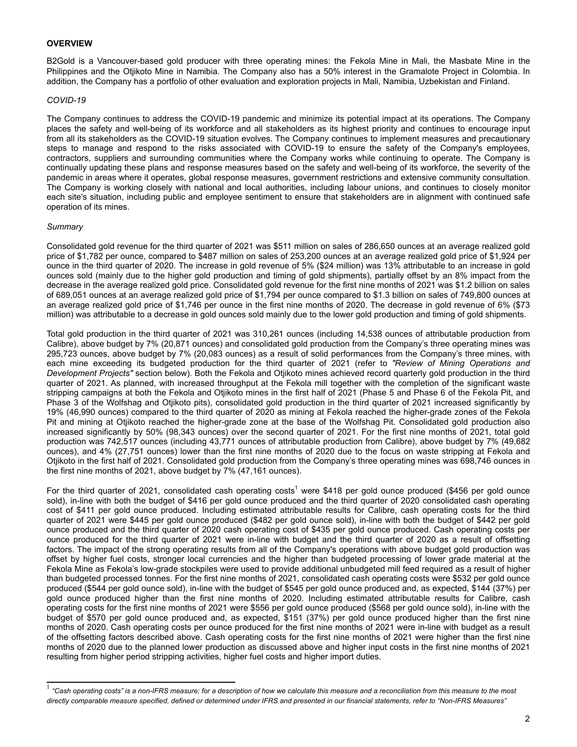## <span id="page-1-0"></span>**OVERVIEW**

B2Gold is a Vancouver-based gold producer with three operating mines: the Fekola Mine in Mali, the Masbate Mine in the Philippines and the Otjikoto Mine in Namibia. The Company also has a 50% interest in the Gramalote Project in Colombia. In addition, the Company has a portfolio of other evaluation and exploration projects in Mali, Namibia, Uzbekistan and Finland.

#### *COVID-19*

The Company continues to address the COVID-19 pandemic and minimize its potential impact at its operations. The Company places the safety and well-being of its workforce and all stakeholders as its highest priority and continues to encourage input from all its stakeholders as the COVID-19 situation evolves. The Company continues to implement measures and precautionary steps to manage and respond to the risks associated with COVID-19 to ensure the safety of the Company's employees, contractors, suppliers and surrounding communities where the Company works while continuing to operate. The Company is continually updating these plans and response measures based on the safety and well-being of its workforce, the severity of the pandemic in areas where it operates, global response measures, government restrictions and extensive community consultation. The Company is working closely with national and local authorities, including labour unions, and continues to closely monitor each site's situation, including public and employee sentiment to ensure that stakeholders are in alignment with continued safe operation of its mines.

#### *Summary*

Consolidated gold revenue for the third quarter of 2021 was \$511 million on sales of 286,650 ounces at an average realized gold price of \$1,782 per ounce, compared to \$487 million on sales of 253,200 ounces at an average realized gold price of \$1,924 per ounce in the third quarter of 2020. The increase in gold revenue of 5% (\$24 million) was 13% attributable to an increase in gold ounces sold (mainly due to the higher gold production and timing of gold shipments), partially offset by an 8% impact from the decrease in the average realized gold price. Consolidated gold revenue for the first nine months of 2021 was \$1.2 billion on sales of 689,051 ounces at an average realized gold price of \$1,794 per ounce compared to \$1.3 billion on sales of 749,800 ounces at an average realized gold price of \$1,746 per ounce in the first nine months of 2020. The decrease in gold revenue of 6% (\$73 million) was attributable to a decrease in gold ounces sold mainly due to the lower gold production and timing of gold shipments.

Total gold production in the third quarter of 2021 was 310,261 ounces (including 14,538 ounces of attributable production from Calibre), above budget by 7% (20,871 ounces) and consolidated gold production from the Company's three operating mines was 295,723 ounces, above budget by 7% (20,083 ounces) as a result of solid performances from the Company's three mines, with each mine exceeding its budgeted production for the third quarter of 2021 (refer to *"Review of Mining Operations and Development Projects"* section below). Both the Fekola and Otjikoto mines achieved record quarterly gold production in the third quarter of 2021. As planned, with increased throughput at the Fekola mill together with the completion of the significant waste stripping campaigns at both the Fekola and Otjikoto mines in the first half of 2021 (Phase 5 and Phase 6 of the Fekola Pit, and Phase 3 of the Wolfshag and Otjikoto pits), consolidated gold production in the third quarter of 2021 increased significantly by 19% (46,990 ounces) compared to the third quarter of 2020 as mining at Fekola reached the higher-grade zones of the Fekola Pit and mining at Otjikoto reached the higher-grade zone at the base of the Wolfshag Pit. Consolidated gold production also increased significantly by 50% (98,343 ounces) over the second quarter of 2021. For the first nine months of 2021, total gold production was 742,517 ounces (including 43,771 ounces of attributable production from Calibre), above budget by 7% (49,682 ounces), and 4% (27,751 ounces) lower than the first nine months of 2020 due to the focus on waste stripping at Fekola and Otjikoto in the first half of 2021. Consolidated gold production from the Company's three operating mines was 698,746 ounces in the first nine months of 2021, above budget by 7% (47,161 ounces).

For the third quarter of 2021, consolidated cash operating costs<sup>1</sup> were \$418 per gold ounce produced (\$456 per gold ounce sold), in-line with both the budget of \$416 per gold ounce produced and the third quarter of 2020 consolidated cash operating cost of \$411 per gold ounce produced. Including estimated attributable results for Calibre, cash operating costs for the third quarter of 2021 were \$445 per gold ounce produced (\$482 per gold ounce sold), in-line with both the budget of \$442 per gold ounce produced and the third quarter of 2020 cash operating cost of \$435 per gold ounce produced. Cash operating costs per ounce produced for the third quarter of 2021 were in-line with budget and the third quarter of 2020 as a result of offsetting factors. The impact of the strong operating results from all of the Company's operations with above budget gold production was offset by higher fuel costs, stronger local currencies and the higher than budgeted processing of lower grade material at the Fekola Mine as Fekola's low-grade stockpiles were used to provide additional unbudgeted mill feed required as a result of higher than budgeted processed tonnes. For the first nine months of 2021, consolidated cash operating costs were \$532 per gold ounce produced (\$544 per gold ounce sold), in-line with the budget of \$545 per gold ounce produced and, as expected, \$144 (37%) per gold ounce produced higher than the first nine months of 2020. Including estimated attributable results for Calibre, cash operating costs for the first nine months of 2021 were \$556 per gold ounce produced (\$568 per gold ounce sold), in-line with the budget of \$570 per gold ounce produced and, as expected, \$151 (37%) per gold ounce produced higher than the first nine months of 2020. Cash operating costs per ounce produced for the first nine months of 2021 were in-line with budget as a result of the offsetting factors described above. Cash operating costs for the first nine months of 2021 were higher than the first nine months of 2020 due to the planned lower production as discussed above and higher input costs in the first nine months of 2021 resulting from higher period stripping activities, higher fuel costs and higher import duties.

<sup>1</sup> *"Cash operating costs" is a non-IFRS measure; for a description of how we calculate this measure and a reconciliation from this measure to the most directly comparable measure specified, defined or determined under IFRS and presented in our financial statements, refer to "Non-IFRS Measures"*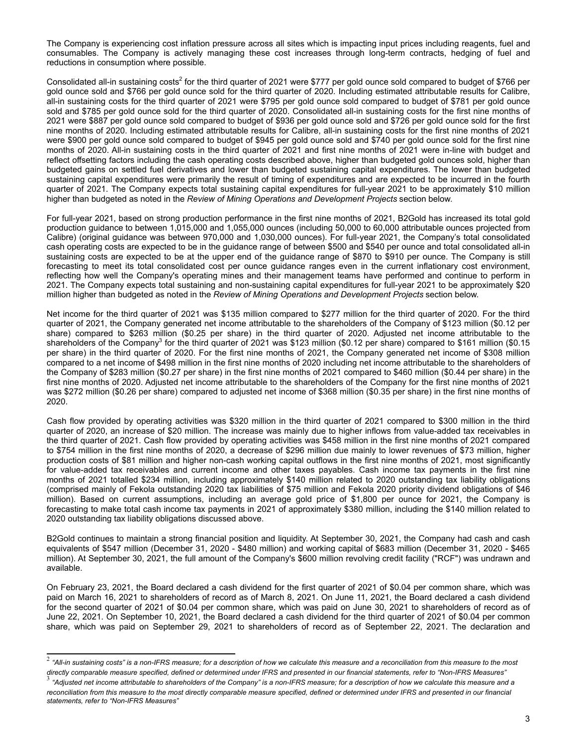The Company is experiencing cost inflation pressure across all sites which is impacting input prices including reagents, fuel and consumables. The Company is actively managing these cost increases through long-term contracts, hedging of fuel and reductions in consumption where possible.

Consolidated all-in sustaining costs<sup>2</sup> for the third quarter of 2021 were \$777 per gold ounce sold compared to budget of \$766 per gold ounce sold and \$766 per gold ounce sold for the third quarter of 2020. Including estimated attributable results for Calibre, all-in sustaining costs for the third quarter of 2021 were \$795 per gold ounce sold compared to budget of \$781 per gold ounce sold and \$785 per gold ounce sold for the third quarter of 2020. Consolidated all-in sustaining costs for the first nine months of 2021 were \$887 per gold ounce sold compared to budget of \$936 per gold ounce sold and \$726 per gold ounce sold for the first nine months of 2020. Including estimated attributable results for Calibre, all-in sustaining costs for the first nine months of 2021 were \$900 per gold ounce sold compared to budget of \$945 per gold ounce sold and \$740 per gold ounce sold for the first nine months of 2020. All-in sustaining costs in the third quarter of 2021 and first nine months of 2021 were in-line with budget and reflect offsetting factors including the cash operating costs described above, higher than budgeted gold ounces sold, higher than budgeted gains on settled fuel derivatives and lower than budgeted sustaining capital expenditures. The lower than budgeted sustaining capital expenditures were primarily the result of timing of expenditures and are expected to be incurred in the fourth quarter of 2021. The Company expects total sustaining capital expenditures for full-year 2021 to be approximately \$10 million higher than budgeted as noted in the *Review of Mining Operations and Development Projects* section below.

For full-year 2021, based on strong production performance in the first nine months of 2021, B2Gold has increased its total gold production guidance to between 1,015,000 and 1,055,000 ounces (including 50,000 to 60,000 attributable ounces projected from Calibre) (original guidance was between 970,000 and 1,030,000 ounces). For full-year 2021, the Company's total consolidated cash operating costs are expected to be in the guidance range of between \$500 and \$540 per ounce and total consolidated all-in sustaining costs are expected to be at the upper end of the guidance range of \$870 to \$910 per ounce. The Company is still forecasting to meet its total consolidated cost per ounce guidance ranges even in the current inflationary cost environment, reflecting how well the Company's operating mines and their management teams have performed and continue to perform in 2021. The Company expects total sustaining and non-sustaining capital expenditures for full-year 2021 to be approximately \$20 million higher than budgeted as noted in the *Review of Mining Operations and Development Projects* section below.

Net income for the third quarter of 2021 was \$135 million compared to \$277 million for the third quarter of 2020. For the third quarter of 2021, the Company generated net income attributable to the shareholders of the Company of \$123 million (\$0.12 per share) compared to \$263 million (\$0.25 per share) in the third quarter of 2020. Adjusted net income attributable to the shareholders of the Company<sup>3</sup> for the third quarter of 2021 was \$123 million (\$0.12 per share) compared to \$161 million (\$0.15 per share) in the third quarter of 2020. For the first nine months of 2021, the Company generated net income of \$308 million compared to a net income of \$498 million in the first nine months of 2020 including net income attributable to the shareholders of the Company of \$283 million (\$0.27 per share) in the first nine months of 2021 compared to \$460 million (\$0.44 per share) in the first nine months of 2020. Adjusted net income attributable to the shareholders of the Company for the first nine months of 2021 was \$272 million (\$0.26 per share) compared to adjusted net income of \$368 million (\$0.35 per share) in the first nine months of 2020.

Cash flow provided by operating activities was \$320 million in the third quarter of 2021 compared to \$300 million in the third quarter of 2020, an increase of \$20 million. The increase was mainly due to higher inflows from value-added tax receivables in the third quarter of 2021. Cash flow provided by operating activities was \$458 million in the first nine months of 2021 compared to \$754 million in the first nine months of 2020, a decrease of \$296 million due mainly to lower revenues of \$73 million, higher production costs of \$81 million and higher non-cash working capital outflows in the first nine months of 2021, most significantly for value-added tax receivables and current income and other taxes payables. Cash income tax payments in the first nine months of 2021 totalled \$234 million, including approximately \$140 million related to 2020 outstanding tax liability obligations (comprised mainly of Fekola outstanding 2020 tax liabilities of \$75 million and Fekola 2020 priority dividend obligations of \$46 million). Based on current assumptions, including an average gold price of \$1,800 per ounce for 2021, the Company is forecasting to make total cash income tax payments in 2021 of approximately \$380 million, including the \$140 million related to 2020 outstanding tax liability obligations discussed above.

B2Gold continues to maintain a strong financial position and liquidity. At September 30, 2021, the Company had cash and cash equivalents of \$547 million (December 31, 2020 - \$480 million) and working capital of \$683 million (December 31, 2020 - \$465 million). At September 30, 2021, the full amount of the Company's \$600 million revolving credit facility ("RCF") was undrawn and available.

On February 23, 2021, the Board declared a cash dividend for the first quarter of 2021 of \$0.04 per common share, which was paid on March 16, 2021 to shareholders of record as of March 8, 2021. On June 11, 2021, the Board declared a cash dividend for the second quarter of 2021 of \$0.04 per common share, which was paid on June 30, 2021 to shareholders of record as of June 22, 2021. On September 10, 2021, the Board declared a cash dividend for the third quarter of 2021 of \$0.04 per common share, which was paid on September 29, 2021 to shareholders of record as of September 22, 2021. The declaration and

<sup>2</sup> *"All-in sustaining costs" is a non-IFRS measure; for a description of how we calculate this measure and a reconciliation from this measure to the most directly comparable measure specified, defined or determined under IFRS and presented in our financial statements, refer to "Non-IFRS Measures"*

<sup>3</sup> *"Adjusted net income attributable to shareholders of the Company" is a non-IFRS measure; for a description of how we calculate this measure and a*  reconciliation from this measure to the most directly comparable measure specified, defined or determined under IFRS and presented in our financial *statements, refer to "Non-IFRS Measures"*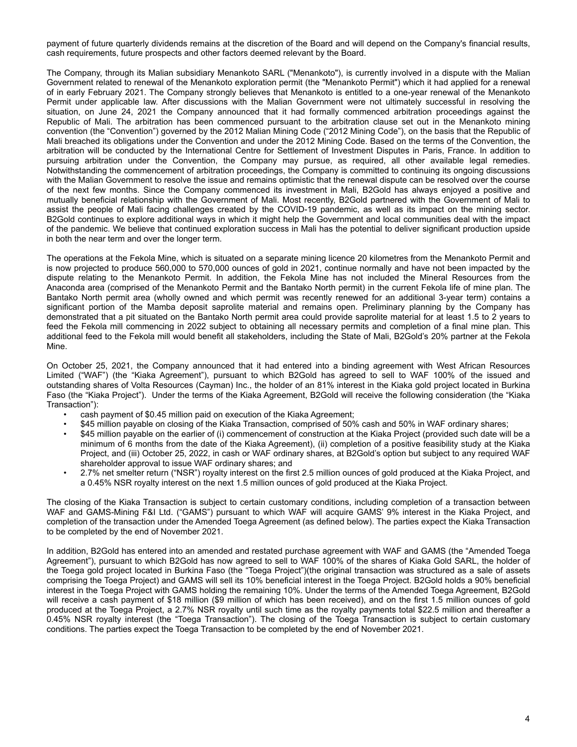payment of future quarterly dividends remains at the discretion of the Board and will depend on the Company's financial results, cash requirements, future prospects and other factors deemed relevant by the Board.

The Company, through its Malian subsidiary Menankoto SARL ("Menankoto"), is currently involved in a dispute with the Malian Government related to renewal of the Menankoto exploration permit (the "Menankoto Permit") which it had applied for a renewal of in early February 2021. The Company strongly believes that Menankoto is entitled to a one-year renewal of the Menankoto Permit under applicable law. After discussions with the Malian Government were not ultimately successful in resolving the situation, on June 24, 2021 the Company announced that it had formally commenced arbitration proceedings against the Republic of Mali. The arbitration has been commenced pursuant to the arbitration clause set out in the Menankoto mining convention (the "Convention") governed by the 2012 Malian Mining Code ("2012 Mining Code"), on the basis that the Republic of Mali breached its obligations under the Convention and under the 2012 Mining Code. Based on the terms of the Convention, the arbitration will be conducted by the International Centre for Settlement of Investment Disputes in Paris, France. In addition to pursuing arbitration under the Convention, the Company may pursue, as required, all other available legal remedies. Notwithstanding the commencement of arbitration proceedings, the Company is committed to continuing its ongoing discussions with the Malian Government to resolve the issue and remains optimistic that the renewal dispute can be resolved over the course of the next few months. Since the Company commenced its investment in Mali, B2Gold has always enjoyed a positive and mutually beneficial relationship with the Government of Mali. Most recently, B2Gold partnered with the Government of Mali to assist the people of Mali facing challenges created by the COVID-19 pandemic, as well as its impact on the mining sector. B2Gold continues to explore additional ways in which it might help the Government and local communities deal with the impact of the pandemic. We believe that continued exploration success in Mali has the potential to deliver significant production upside in both the near term and over the longer term.

The operations at the Fekola Mine, which is situated on a separate mining licence 20 kilometres from the Menankoto Permit and is now projected to produce 560,000 to 570,000 ounces of gold in 2021, continue normally and have not been impacted by the dispute relating to the Menankoto Permit. In addition, the Fekola Mine has not included the Mineral Resources from the Anaconda area (comprised of the Menankoto Permit and the Bantako North permit) in the current Fekola life of mine plan. The Bantako North permit area (wholly owned and which permit was recently renewed for an additional 3-year term) contains a significant portion of the Mamba deposit saprolite material and remains open. Preliminary planning by the Company has demonstrated that a pit situated on the Bantako North permit area could provide saprolite material for at least 1.5 to 2 years to feed the Fekola mill commencing in 2022 subject to obtaining all necessary permits and completion of a final mine plan. This additional feed to the Fekola mill would benefit all stakeholders, including the State of Mali, B2Gold's 20% partner at the Fekola Mine.

On October 25, 2021, the Company announced that it had entered into a binding agreement with West African Resources Limited ("WAF") (the "Kiaka Agreement"), pursuant to which B2Gold has agreed to sell to WAF 100% of the issued and outstanding shares of Volta Resources (Cayman) Inc., the holder of an 81% interest in the Kiaka gold project located in Burkina Faso (the "Kiaka Project"). Under the terms of the Kiaka Agreement, B2Gold will receive the following consideration (the "Kiaka Transaction"):

- cash payment of \$0.45 million paid on execution of the Kiaka Agreement;
- \$45 million payable on closing of the Kiaka Transaction, comprised of 50% cash and 50% in WAF ordinary shares;
- \$45 million payable on the earlier of (i) commencement of construction at the Kiaka Project (provided such date will be a minimum of 6 months from the date of the Kiaka Agreement), (ii) completion of a positive feasibility study at the Kiaka Project, and (iii) October 25, 2022, in cash or WAF ordinary shares, at B2Gold's option but subject to any required WAF shareholder approval to issue WAF ordinary shares; and
- 2.7% net smelter return ("NSR") royalty interest on the first 2.5 million ounces of gold produced at the Kiaka Project, and a 0.45% NSR royalty interest on the next 1.5 million ounces of gold produced at the Kiaka Project.

The closing of the Kiaka Transaction is subject to certain customary conditions, including completion of a transaction between WAF and GAMS-Mining F&I Ltd. ("GAMS") pursuant to which WAF will acquire GAMS' 9% interest in the Kiaka Project, and completion of the transaction under the Amended Toega Agreement (as defined below). The parties expect the Kiaka Transaction to be completed by the end of November 2021.

In addition, B2Gold has entered into an amended and restated purchase agreement with WAF and GAMS (the "Amended Toega Agreement"), pursuant to which B2Gold has now agreed to sell to WAF 100% of the shares of Kiaka Gold SARL, the holder of the Toega gold project located in Burkina Faso (the "Toega Project")(the original transaction was structured as a sale of assets comprising the Toega Project) and GAMS will sell its 10% beneficial interest in the Toega Project. B2Gold holds a 90% beneficial interest in the Toega Project with GAMS holding the remaining 10%. Under the terms of the Amended Toega Agreement, B2Gold will receive a cash payment of \$18 million (\$9 million of which has been received), and on the first 1.5 million ounces of gold produced at the Toega Project, a 2.7% NSR royalty until such time as the royalty payments total \$22.5 million and thereafter a 0.45% NSR royalty interest (the "Toega Transaction"). The closing of the Toega Transaction is subject to certain customary conditions. The parties expect the Toega Transaction to be completed by the end of November 2021.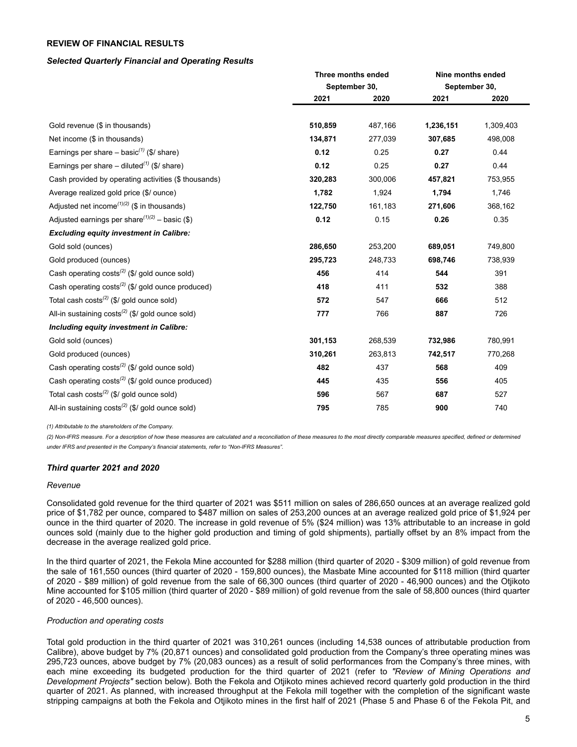## <span id="page-4-0"></span>**REVIEW OF FINANCIAL RESULTS**

#### *Selected Quarterly Financial and Operating Results*

|                                                                      | Three months ended |         | Nine months ended |           |  |
|----------------------------------------------------------------------|--------------------|---------|-------------------|-----------|--|
|                                                                      | September 30,      |         | September 30,     |           |  |
|                                                                      | 2021               | 2020    | 2021              | 2020      |  |
|                                                                      |                    |         |                   |           |  |
| Gold revenue (\$ in thousands)                                       | 510,859            | 487,166 | 1,236,151         | 1,309,403 |  |
| Net income (\$ in thousands)                                         | 134,871            | 277,039 | 307,685           | 498,008   |  |
| Earnings per share – basic <sup>(1)</sup> (\$/ share)                | 0.12               | 0.25    | 0.27              | 0.44      |  |
| Earnings per share – diluted <sup>(1)</sup> (\$/ share)              | 0.12               | 0.25    | 0.27              | 0.44      |  |
| Cash provided by operating activities (\$ thousands)                 | 320,283            | 300,006 | 457,821           | 753,955   |  |
| Average realized gold price (\$/ ounce)                              | 1,782              | 1,924   | 1,794             | 1,746     |  |
| Adjusted net income <sup><math>(1)(2)</math></sup> (\$ in thousands) | 122,750            | 161,183 | 271,606           | 368,162   |  |
| Adjusted earnings per share $(1)(2)$ – basic (\$)                    | 0.12               | 0.15    | 0.26              | 0.35      |  |
| <b>Excluding equity investment in Calibre:</b>                       |                    |         |                   |           |  |
| Gold sold (ounces)                                                   | 286,650            | 253,200 | 689,051           | 749,800   |  |
| Gold produced (ounces)                                               | 295,723            | 248,733 | 698,746           | 738,939   |  |
| Cash operating $costs^{(2)}$ (\$/ gold ounce sold)                   | 456                | 414     | 544               | 391       |  |
| Cash operating costs <sup>(2)</sup> (\$/ gold ounce produced)        | 418                | 411     | 532               | 388       |  |
| Total cash costs <sup><math>(2)</math></sup> (\$/ gold ounce sold)   | 572                | 547     | 666               | 512       |  |
| All-in sustaining $costs^{(2)}$ (\$/ gold ounce sold)                | 777                | 766     | 887               | 726       |  |
| Including equity investment in Calibre:                              |                    |         |                   |           |  |
| Gold sold (ounces)                                                   | 301,153            | 268,539 | 732,986           | 780,991   |  |
| Gold produced (ounces)                                               | 310,261            | 263,813 | 742,517           | 770,268   |  |
| Cash operating costs <sup>(2)</sup> (\$/ gold ounce sold)            | 482                | 437     | 568               | 409       |  |
| Cash operating $costs^{(2)}$ (\$/ gold ounce produced)               | 445                | 435     | 556               | 405       |  |
| Total cash costs <sup>(2)</sup> ( $\sqrt[6]{ }$ gold ounce sold)     | 596                | 567     | 687               | 527       |  |
| All-in sustaining $costs^{(2)}$ (\$/ gold ounce sold)                | 795                | 785     | 900               | 740       |  |

*(1) Attributable to the shareholders of the Company.*

*(2) Non-IFRS measure. For a description of how these measures are calculated and a reconciliation of these measures to the most directly comparable measures specified, defined or determined under IFRS and presented in the Company's financial statements, refer to "Non-IFRS Measures".*

# *Third quarter 2021 and 2020*

#### *Revenue*

Consolidated gold revenue for the third quarter of 2021 was \$511 million on sales of 286,650 ounces at an average realized gold price of \$1,782 per ounce, compared to \$487 million on sales of 253,200 ounces at an average realized gold price of \$1,924 per ounce in the third quarter of 2020. The increase in gold revenue of 5% (\$24 million) was 13% attributable to an increase in gold ounces sold (mainly due to the higher gold production and timing of gold shipments), partially offset by an 8% impact from the decrease in the average realized gold price.

In the third quarter of 2021, the Fekola Mine accounted for \$288 million (third quarter of 2020 - \$309 million) of gold revenue from the sale of 161,550 ounces (third quarter of 2020 - 159,800 ounces), the Masbate Mine accounted for \$118 million (third quarter of 2020 - \$89 million) of gold revenue from the sale of 66,300 ounces (third quarter of 2020 - 46,900 ounces) and the Otjikoto Mine accounted for \$105 million (third quarter of 2020 - \$89 million) of gold revenue from the sale of 58,800 ounces (third quarter of 2020 - 46,500 ounces).

## *Production and operating costs*

Total gold production in the third quarter of 2021 was 310,261 ounces (including 14,538 ounces of attributable production from Calibre), above budget by 7% (20,871 ounces) and consolidated gold production from the Company's three operating mines was 295,723 ounces, above budget by 7% (20,083 ounces) as a result of solid performances from the Company's three mines, with each mine exceeding its budgeted production for the third quarter of 2021 (refer to *"Review of Mining Operations and Development Projects"* section below). Both the Fekola and Otjikoto mines achieved record quarterly gold production in the third quarter of 2021. As planned, with increased throughput at the Fekola mill together with the completion of the significant waste stripping campaigns at both the Fekola and Otjikoto mines in the first half of 2021 (Phase 5 and Phase 6 of the Fekola Pit, and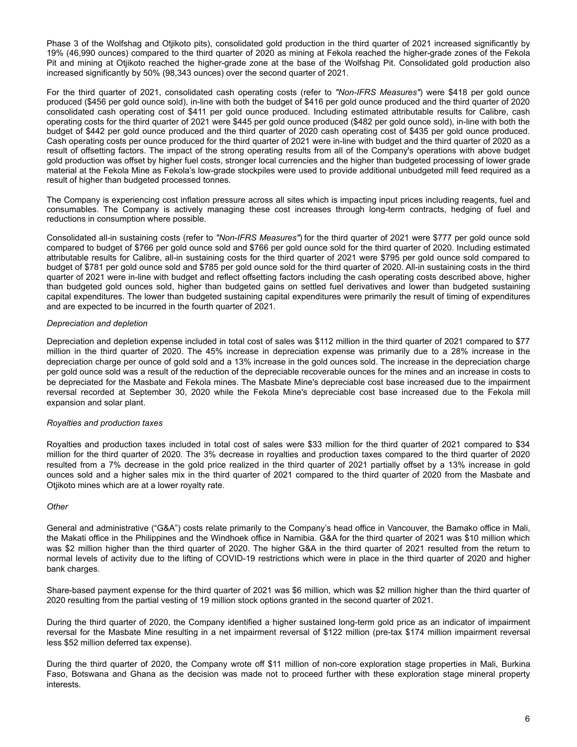Phase 3 of the Wolfshag and Otjikoto pits), consolidated gold production in the third quarter of 2021 increased significantly by 19% (46,990 ounces) compared to the third quarter of 2020 as mining at Fekola reached the higher-grade zones of the Fekola Pit and mining at Otjikoto reached the higher-grade zone at the base of the Wolfshag Pit. Consolidated gold production also increased significantly by 50% (98,343 ounces) over the second quarter of 2021.

For the third quarter of 2021, consolidated cash operating costs (refer to *"Non-IFRS Measures"*) were \$418 per gold ounce produced (\$456 per gold ounce sold), in-line with both the budget of \$416 per gold ounce produced and the third quarter of 2020 consolidated cash operating cost of \$411 per gold ounce produced. Including estimated attributable results for Calibre, cash operating costs for the third quarter of 2021 were \$445 per gold ounce produced (\$482 per gold ounce sold), in-line with both the budget of \$442 per gold ounce produced and the third quarter of 2020 cash operating cost of \$435 per gold ounce produced. Cash operating costs per ounce produced for the third quarter of 2021 were in-line with budget and the third quarter of 2020 as a result of offsetting factors. The impact of the strong operating results from all of the Company's operations with above budget gold production was offset by higher fuel costs, stronger local currencies and the higher than budgeted processing of lower grade material at the Fekola Mine as Fekola's low-grade stockpiles were used to provide additional unbudgeted mill feed required as a result of higher than budgeted processed tonnes.

The Company is experiencing cost inflation pressure across all sites which is impacting input prices including reagents, fuel and consumables. The Company is actively managing these cost increases through long-term contracts, hedging of fuel and reductions in consumption where possible.

Consolidated all-in sustaining costs (refer to *"Non-IFRS Measures"*) for the third quarter of 2021 were \$777 per gold ounce sold compared to budget of \$766 per gold ounce sold and \$766 per gold ounce sold for the third quarter of 2020. Including estimated attributable results for Calibre, all-in sustaining costs for the third quarter of 2021 were \$795 per gold ounce sold compared to budget of \$781 per gold ounce sold and \$785 per gold ounce sold for the third quarter of 2020. All-in sustaining costs in the third quarter of 2021 were in-line with budget and reflect offsetting factors including the cash operating costs described above, higher than budgeted gold ounces sold, higher than budgeted gains on settled fuel derivatives and lower than budgeted sustaining capital expenditures. The lower than budgeted sustaining capital expenditures were primarily the result of timing of expenditures and are expected to be incurred in the fourth quarter of 2021.

# *Depreciation and depletion*

Depreciation and depletion expense included in total cost of sales was \$112 million in the third quarter of 2021 compared to \$77 million in the third quarter of 2020. The 45% increase in depreciation expense was primarily due to a 28% increase in the depreciation charge per ounce of gold sold and a 13% increase in the gold ounces sold. The increase in the depreciation charge per gold ounce sold was a result of the reduction of the depreciable recoverable ounces for the mines and an increase in costs to be depreciated for the Masbate and Fekola mines. The Masbate Mine's depreciable cost base increased due to the impairment reversal recorded at September 30, 2020 while the Fekola Mine's depreciable cost base increased due to the Fekola mill expansion and solar plant.

## *Royalties and production taxes*

Royalties and production taxes included in total cost of sales were \$33 million for the third quarter of 2021 compared to \$34 million for the third quarter of 2020. The 3% decrease in royalties and production taxes compared to the third quarter of 2020 resulted from a 7% decrease in the gold price realized in the third quarter of 2021 partially offset by a 13% increase in gold ounces sold and a higher sales mix in the third quarter of 2021 compared to the third quarter of 2020 from the Masbate and Otjikoto mines which are at a lower royalty rate.

## *Other*

General and administrative ("G&A") costs relate primarily to the Company's head office in Vancouver, the Bamako office in Mali, the Makati office in the Philippines and the Windhoek office in Namibia. G&A for the third quarter of 2021 was \$10 million which was \$2 million higher than the third quarter of 2020. The higher G&A in the third quarter of 2021 resulted from the return to normal levels of activity due to the lifting of COVID-19 restrictions which were in place in the third quarter of 2020 and higher bank charges.

Share-based payment expense for the third quarter of 2021 was \$6 million, which was \$2 million higher than the third quarter of 2020 resulting from the partial vesting of 19 million stock options granted in the second quarter of 2021.

During the third quarter of 2020, the Company identified a higher sustained long-term gold price as an indicator of impairment reversal for the Masbate Mine resulting in a net impairment reversal of \$122 million (pre-tax \$174 million impairment reversal less \$52 million deferred tax expense).

During the third quarter of 2020, the Company wrote off \$11 million of non-core exploration stage properties in Mali, Burkina Faso, Botswana and Ghana as the decision was made not to proceed further with these exploration stage mineral property interests.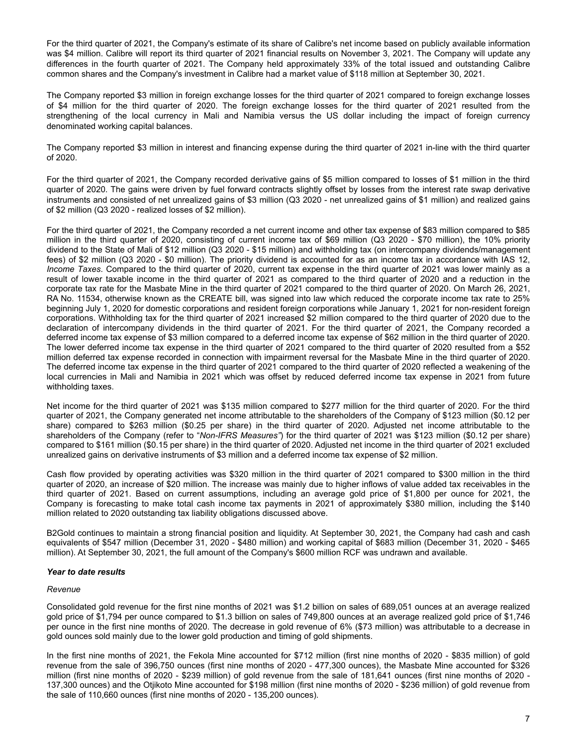For the third quarter of 2021, the Company's estimate of its share of Calibre's net income based on publicly available information was \$4 million. Calibre will report its third quarter of 2021 financial results on November 3, 2021. The Company will update any differences in the fourth quarter of 2021. The Company held approximately 33% of the total issued and outstanding Calibre common shares and the Company's investment in Calibre had a market value of \$118 million at September 30, 2021.

The Company reported \$3 million in foreign exchange losses for the third quarter of 2021 compared to foreign exchange losses of \$4 million for the third quarter of 2020. The foreign exchange losses for the third quarter of 2021 resulted from the strengthening of the local currency in Mali and Namibia versus the US dollar including the impact of foreign currency denominated working capital balances.

The Company reported \$3 million in interest and financing expense during the third quarter of 2021 in-line with the third quarter of 2020.

For the third quarter of 2021, the Company recorded derivative gains of \$5 million compared to losses of \$1 million in the third quarter of 2020. The gains were driven by fuel forward contracts slightly offset by losses from the interest rate swap derivative instruments and consisted of net unrealized gains of \$3 million (Q3 2020 - net unrealized gains of \$1 million) and realized gains of \$2 million (Q3 2020 - realized losses of \$2 million).

For the third quarter of 2021, the Company recorded a net current income and other tax expense of \$83 million compared to \$85 million in the third quarter of 2020, consisting of current income tax of \$69 million (Q3 2020 - \$70 million), the 10% priority dividend to the State of Mali of \$12 million (Q3 2020 - \$15 million) and withholding tax (on intercompany dividends/management fees) of \$2 million (Q3 2020 - \$0 million). The priority dividend is accounted for as an income tax in accordance with IAS 12, *Income Taxes*. Compared to the third quarter of 2020, current tax expense in the third quarter of 2021 was lower mainly as a result of lower taxable income in the third quarter of 2021 as compared to the third quarter of 2020 and a reduction in the corporate tax rate for the Masbate Mine in the third quarter of 2021 compared to the third quarter of 2020. On March 26, 2021, RA No. 11534, otherwise known as the CREATE bill, was signed into law which reduced the corporate income tax rate to 25% beginning July 1, 2020 for domestic corporations and resident foreign corporations while January 1, 2021 for non-resident foreign corporations. Withholding tax for the third quarter of 2021 increased \$2 million compared to the third quarter of 2020 due to the declaration of intercompany dividends in the third quarter of 2021. For the third quarter of 2021, the Company recorded a deferred income tax expense of \$3 million compared to a deferred income tax expense of \$62 million in the third quarter of 2020. The lower deferred income tax expense in the third quarter of 2021 compared to the third quarter of 2020 resulted from a \$52 million deferred tax expense recorded in connection with impairment reversal for the Masbate Mine in the third quarter of 2020. The deferred income tax expense in the third quarter of 2021 compared to the third quarter of 2020 reflected a weakening of the local currencies in Mali and Namibia in 2021 which was offset by reduced deferred income tax expense in 2021 from future withholding taxes.

Net income for the third quarter of 2021 was \$135 million compared to \$277 million for the third quarter of 2020. For the third quarter of 2021, the Company generated net income attributable to the shareholders of the Company of \$123 million (\$0.12 per share) compared to \$263 million (\$0.25 per share) in the third quarter of 2020. Adjusted net income attributable to the shareholders of the Company (refer to "*Non-IFRS Measures"*) for the third quarter of 2021 was \$123 million (\$0.12 per share) compared to \$161 million (\$0.15 per share) in the third quarter of 2020. Adjusted net income in the third quarter of 2021 excluded unrealized gains on derivative instruments of \$3 million and a deferred income tax expense of \$2 million.

Cash flow provided by operating activities was \$320 million in the third quarter of 2021 compared to \$300 million in the third quarter of 2020, an increase of \$20 million. The increase was mainly due to higher inflows of value added tax receivables in the third quarter of 2021. Based on current assumptions, including an average gold price of \$1,800 per ounce for 2021, the Company is forecasting to make total cash income tax payments in 2021 of approximately \$380 million, including the \$140 million related to 2020 outstanding tax liability obligations discussed above.

B2Gold continues to maintain a strong financial position and liquidity. At September 30, 2021, the Company had cash and cash equivalents of \$547 million (December 31, 2020 - \$480 million) and working capital of \$683 million (December 31, 2020 - \$465 million). At September 30, 2021, the full amount of the Company's \$600 million RCF was undrawn and available.

## *Year to date results*

#### *Revenue*

Consolidated gold revenue for the first nine months of 2021 was \$1.2 billion on sales of 689,051 ounces at an average realized gold price of \$1,794 per ounce compared to \$1.3 billion on sales of 749,800 ounces at an average realized gold price of \$1,746 per ounce in the first nine months of 2020. The decrease in gold revenue of 6% (\$73 million) was attributable to a decrease in gold ounces sold mainly due to the lower gold production and timing of gold shipments.

In the first nine months of 2021, the Fekola Mine accounted for \$712 million (first nine months of 2020 - \$835 million) of gold revenue from the sale of 396,750 ounces (first nine months of 2020 - 477,300 ounces), the Masbate Mine accounted for \$326 million (first nine months of 2020 - \$239 million) of gold revenue from the sale of 181,641 ounces (first nine months of 2020 - 137,300 ounces) and the Otjikoto Mine accounted for \$198 million (first nine months of 2020 - \$236 million) of gold revenue from the sale of 110,660 ounces (first nine months of 2020 - 135,200 ounces).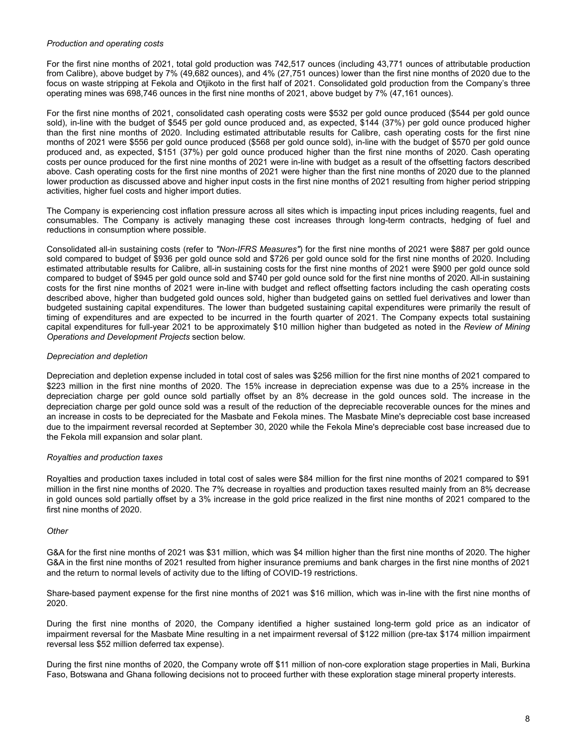#### *Production and operating costs*

For the first nine months of 2021, total gold production was 742,517 ounces (including 43,771 ounces of attributable production from Calibre), above budget by 7% (49,682 ounces), and 4% (27,751 ounces) lower than the first nine months of 2020 due to the focus on waste stripping at Fekola and Otjikoto in the first half of 2021. Consolidated gold production from the Company's three operating mines was 698,746 ounces in the first nine months of 2021, above budget by 7% (47,161 ounces).

For the first nine months of 2021, consolidated cash operating costs were \$532 per gold ounce produced (\$544 per gold ounce sold), in-line with the budget of \$545 per gold ounce produced and, as expected, \$144 (37%) per gold ounce produced higher than the first nine months of 2020. Including estimated attributable results for Calibre, cash operating costs for the first nine months of 2021 were \$556 per gold ounce produced (\$568 per gold ounce sold), in-line with the budget of \$570 per gold ounce produced and, as expected, \$151 (37%) per gold ounce produced higher than the first nine months of 2020. Cash operating costs per ounce produced for the first nine months of 2021 were in-line with budget as a result of the offsetting factors described above. Cash operating costs for the first nine months of 2021 were higher than the first nine months of 2020 due to the planned lower production as discussed above and higher input costs in the first nine months of 2021 resulting from higher period stripping activities, higher fuel costs and higher import duties.

The Company is experiencing cost inflation pressure across all sites which is impacting input prices including reagents, fuel and consumables. The Company is actively managing these cost increases through long-term contracts, hedging of fuel and reductions in consumption where possible.

Consolidated all-in sustaining costs (refer to *"Non-IFRS Measures"*) for the first nine months of 2021 were \$887 per gold ounce sold compared to budget of \$936 per gold ounce sold and \$726 per gold ounce sold for the first nine months of 2020. Including estimated attributable results for Calibre, all-in sustaining costs for the first nine months of 2021 were \$900 per gold ounce sold compared to budget of \$945 per gold ounce sold and \$740 per gold ounce sold for the first nine months of 2020. All-in sustaining costs for the first nine months of 2021 were in-line with budget and reflect offsetting factors including the cash operating costs described above, higher than budgeted gold ounces sold, higher than budgeted gains on settled fuel derivatives and lower than budgeted sustaining capital expenditures. The lower than budgeted sustaining capital expenditures were primarily the result of timing of expenditures and are expected to be incurred in the fourth quarter of 2021. The Company expects total sustaining capital expenditures for full-year 2021 to be approximately \$10 million higher than budgeted as noted in the *Review of Mining Operations and Development Projects* section below.

## *Depreciation and depletion*

Depreciation and depletion expense included in total cost of sales was \$256 million for the first nine months of 2021 compared to \$223 million in the first nine months of 2020. The 15% increase in depreciation expense was due to a 25% increase in the depreciation charge per gold ounce sold partially offset by an 8% decrease in the gold ounces sold. The increase in the depreciation charge per gold ounce sold was a result of the reduction of the depreciable recoverable ounces for the mines and an increase in costs to be depreciated for the Masbate and Fekola mines. The Masbate Mine's depreciable cost base increased due to the impairment reversal recorded at September 30, 2020 while the Fekola Mine's depreciable cost base increased due to the Fekola mill expansion and solar plant.

## *Royalties and production taxes*

Royalties and production taxes included in total cost of sales were \$84 million for the first nine months of 2021 compared to \$91 million in the first nine months of 2020. The 7% decrease in royalties and production taxes resulted mainly from an 8% decrease in gold ounces sold partially offset by a 3% increase in the gold price realized in the first nine months of 2021 compared to the first nine months of 2020.

#### *Other*

G&A for the first nine months of 2021 was \$31 million, which was \$4 million higher than the first nine months of 2020. The higher G&A in the first nine months of 2021 resulted from higher insurance premiums and bank charges in the first nine months of 2021 and the return to normal levels of activity due to the lifting of COVID-19 restrictions.

Share-based payment expense for the first nine months of 2021 was \$16 million, which was in-line with the first nine months of 2020.

During the first nine months of 2020, the Company identified a higher sustained long-term gold price as an indicator of impairment reversal for the Masbate Mine resulting in a net impairment reversal of \$122 million (pre-tax \$174 million impairment reversal less \$52 million deferred tax expense).

During the first nine months of 2020, the Company wrote off \$11 million of non-core exploration stage properties in Mali, Burkina Faso, Botswana and Ghana following decisions not to proceed further with these exploration stage mineral property interests.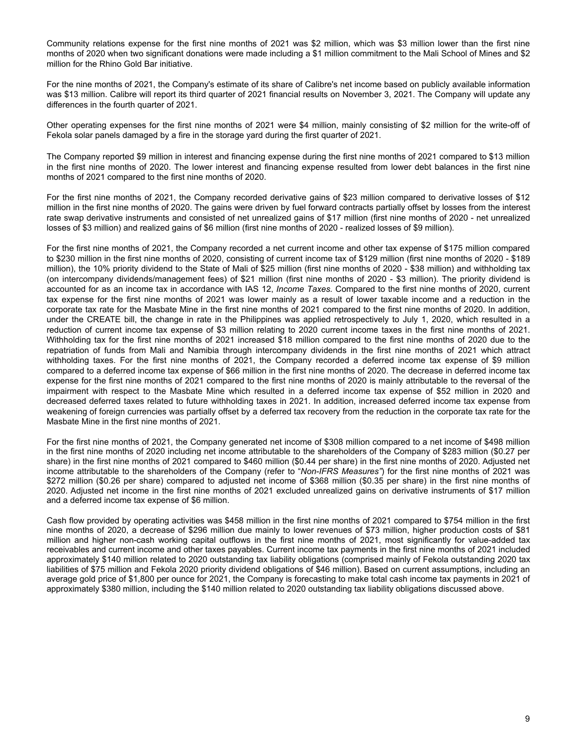Community relations expense for the first nine months of 2021 was \$2 million, which was \$3 million lower than the first nine months of 2020 when two significant donations were made including a \$1 million commitment to the Mali School of Mines and \$2 million for the Rhino Gold Bar initiative.

For the nine months of 2021, the Company's estimate of its share of Calibre's net income based on publicly available information was \$13 million. Calibre will report its third quarter of 2021 financial results on November 3, 2021. The Company will update any differences in the fourth quarter of 2021.

Other operating expenses for the first nine months of 2021 were \$4 million, mainly consisting of \$2 million for the write-off of Fekola solar panels damaged by a fire in the storage yard during the first quarter of 2021.

The Company reported \$9 million in interest and financing expense during the first nine months of 2021 compared to \$13 million in the first nine months of 2020. The lower interest and financing expense resulted from lower debt balances in the first nine months of 2021 compared to the first nine months of 2020.

For the first nine months of 2021, the Company recorded derivative gains of \$23 million compared to derivative losses of \$12 million in the first nine months of 2020. The gains were driven by fuel forward contracts partially offset by losses from the interest rate swap derivative instruments and consisted of net unrealized gains of \$17 million (first nine months of 2020 - net unrealized losses of \$3 million) and realized gains of \$6 million (first nine months of 2020 - realized losses of \$9 million).

For the first nine months of 2021, the Company recorded a net current income and other tax expense of \$175 million compared to \$230 million in the first nine months of 2020, consisting of current income tax of \$129 million (first nine months of 2020 - \$189 million), the 10% priority dividend to the State of Mali of \$25 million (first nine months of 2020 - \$38 million) and withholding tax (on intercompany dividends/management fees) of \$21 million (first nine months of 2020 - \$3 million). The priority dividend is accounted for as an income tax in accordance with IAS 12, *Income Taxes.* Compared to the first nine months of 2020, current tax expense for the first nine months of 2021 was lower mainly as a result of lower taxable income and a reduction in the corporate tax rate for the Masbate Mine in the first nine months of 2021 compared to the first nine months of 2020. In addition, under the CREATE bill, the change in rate in the Philippines was applied retrospectively to July 1, 2020, which resulted in a reduction of current income tax expense of \$3 million relating to 2020 current income taxes in the first nine months of 2021. Withholding tax for the first nine months of 2021 increased \$18 million compared to the first nine months of 2020 due to the repatriation of funds from Mali and Namibia through intercompany dividends in the first nine months of 2021 which attract withholding taxes. For the first nine months of 2021, the Company recorded a deferred income tax expense of \$9 million compared to a deferred income tax expense of \$66 million in the first nine months of 2020. The decrease in deferred income tax expense for the first nine months of 2021 compared to the first nine months of 2020 is mainly attributable to the reversal of the impairment with respect to the Masbate Mine which resulted in a deferred income tax expense of \$52 million in 2020 and decreased deferred taxes related to future withholding taxes in 2021. In addition, increased deferred income tax expense from weakening of foreign currencies was partially offset by a deferred tax recovery from the reduction in the corporate tax rate for the Masbate Mine in the first nine months of 2021.

For the first nine months of 2021, the Company generated net income of \$308 million compared to a net income of \$498 million in the first nine months of 2020 including net income attributable to the shareholders of the Company of \$283 million (\$0.27 per share) in the first nine months of 2021 compared to \$460 million (\$0.44 per share) in the first nine months of 2020. Adjusted net income attributable to the shareholders of the Company (refer to "*Non-IFRS Measures"*) for the first nine months of 2021 was \$272 million (\$0.26 per share) compared to adjusted net income of \$368 million (\$0.35 per share) in the first nine months of 2020. Adjusted net income in the first nine months of 2021 excluded unrealized gains on derivative instruments of \$17 million and a deferred income tax expense of \$6 million.

Cash flow provided by operating activities was \$458 million in the first nine months of 2021 compared to \$754 million in the first nine months of 2020, a decrease of \$296 million due mainly to lower revenues of \$73 million, higher production costs of \$81 million and higher non-cash working capital outflows in the first nine months of 2021, most significantly for value-added tax receivables and current income and other taxes payables. Current income tax payments in the first nine months of 2021 included approximately \$140 million related to 2020 outstanding tax liability obligations (comprised mainly of Fekola outstanding 2020 tax liabilities of \$75 million and Fekola 2020 priority dividend obligations of \$46 million). Based on current assumptions, including an average gold price of \$1,800 per ounce for 2021, the Company is forecasting to make total cash income tax payments in 2021 of approximately \$380 million, including the \$140 million related to 2020 outstanding tax liability obligations discussed above.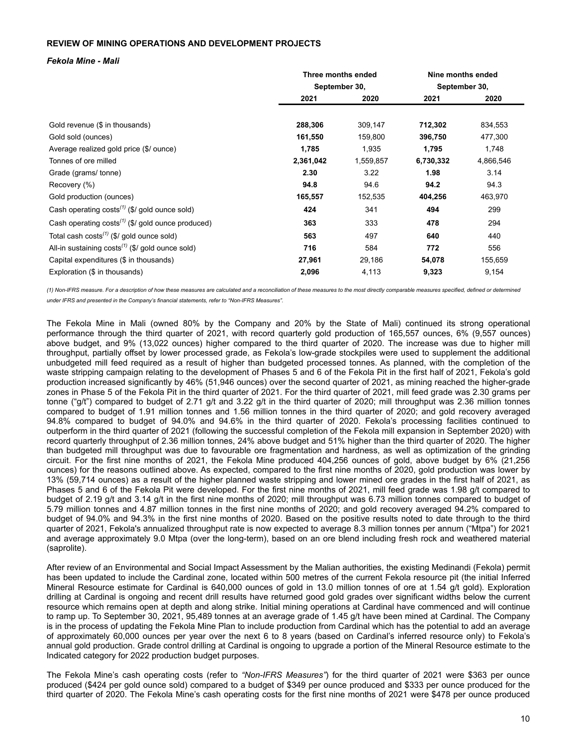## <span id="page-9-0"></span>**REVIEW OF MINING OPERATIONS AND DEVELOPMENT PROJECTS**

#### *Fekola Mine - Mali*

|                                                        | Three months ended |           |           | Nine months ended |
|--------------------------------------------------------|--------------------|-----------|-----------|-------------------|
|                                                        | September 30,      |           |           | September 30,     |
|                                                        | 2021               | 2020      | 2021      | 2020              |
|                                                        |                    |           |           |                   |
| Gold revenue (\$ in thousands)                         | 288,306            | 309,147   | 712,302   | 834,553           |
| Gold sold (ounces)                                     | 161,550            | 159,800   | 396,750   | 477,300           |
| Average realized gold price (\$/ ounce)                | 1,785              | 1,935     | 1,795     | 1,748             |
| Tonnes of ore milled                                   | 2,361,042          | 1,559,857 | 6,730,332 | 4,866,546         |
| Grade (grams/ tonne)                                   | 2.30               | 3.22      | 1.98      | 3.14              |
| Recovery (%)                                           | 94.8               | 94.6      | 94.2      | 94.3              |
| Gold production (ounces)                               | 165,557            | 152,535   | 404,256   | 463,970           |
| Cash operating $costs^{(1)}$ (\$/ gold ounce sold)     | 424                | 341       | 494       | 299               |
| Cash operating $costs^{(1)}$ (\$/ gold ounce produced) | 363                | 333       | 478       | 294               |
| Total cash costs $(1)$ (\$/ gold ounce sold)           | 563                | 497       | 640       | 440               |
| All-in sustaining $costs^{(1)}$ (\$/ gold ounce sold)  | 716                | 584       | 772       | 556               |
| Capital expenditures (\$ in thousands)                 | 27,961             | 29,186    | 54,078    | 155,659           |
| Exploration (\$ in thousands)                          | 2,096              | 4,113     | 9,323     | 9,154             |

*(1) Non-IFRS measure. For a description of how these measures are calculated and a reconciliation of these measures to the most directly comparable measures specified, defined or determined under IFRS and presented in the Company's financial statements, refer to "Non-IFRS Measures".*

The Fekola Mine in Mali (owned 80% by the Company and 20% by the State of Mali) continued its strong operational performance through the third quarter of 2021, with record quarterly gold production of 165,557 ounces, 6% (9,557 ounces) above budget, and 9% (13,022 ounces) higher compared to the third quarter of 2020. The increase was due to higher mill throughput, partially offset by lower processed grade, as Fekola's low-grade stockpiles were used to supplement the additional unbudgeted mill feed required as a result of higher than budgeted processed tonnes. As planned, with the completion of the waste stripping campaign relating to the development of Phases 5 and 6 of the Fekola Pit in the first half of 2021, Fekola's gold production increased significantly by 46% (51,946 ounces) over the second quarter of 2021, as mining reached the higher-grade zones in Phase 5 of the Fekola Pit in the third quarter of 2021. For the third quarter of 2021, mill feed grade was 2.30 grams per tonne ("g/t") compared to budget of 2.71 g/t and 3.22 g/t in the third quarter of 2020; mill throughput was 2.36 million tonnes compared to budget of 1.91 million tonnes and 1.56 million tonnes in the third quarter of 2020; and gold recovery averaged 94.8% compared to budget of 94.0% and 94.6% in the third quarter of 2020. Fekola's processing facilities continued to outperform in the third quarter of 2021 (following the successful completion of the Fekola mill expansion in September 2020) with record quarterly throughput of 2.36 million tonnes, 24% above budget and 51% higher than the third quarter of 2020. The higher than budgeted mill throughput was due to favourable ore fragmentation and hardness, as well as optimization of the grinding circuit. For the first nine months of 2021, the Fekola Mine produced 404,256 ounces of gold, above budget by 6% (21,256 ounces) for the reasons outlined above. As expected, compared to the first nine months of 2020, gold production was lower by 13% (59,714 ounces) as a result of the higher planned waste stripping and lower mined ore grades in the first half of 2021, as Phases 5 and 6 of the Fekola Pit were developed. For the first nine months of 2021, mill feed grade was 1.98 g/t compared to budget of 2.19 g/t and 3.14 g/t in the first nine months of 2020; mill throughput was 6.73 million tonnes compared to budget of 5.79 million tonnes and 4.87 million tonnes in the first nine months of 2020; and gold recovery averaged 94.2% compared to budget of 94.0% and 94.3% in the first nine months of 2020. Based on the positive results noted to date through to the third quarter of 2021, Fekola's annualized throughput rate is now expected to average 8.3 million tonnes per annum ("Mtpa") for 2021 and average approximately 9.0 Mtpa (over the long-term), based on an ore blend including fresh rock and weathered material (saprolite).

After review of an Environmental and Social Impact Assessment by the Malian authorities, the existing Medinandi (Fekola) permit has been updated to include the Cardinal zone, located within 500 metres of the current Fekola resource pit (the initial Inferred Mineral Resource estimate for Cardinal is 640,000 ounces of gold in 13.0 million tonnes of ore at 1.54 g/t gold). Exploration drilling at Cardinal is ongoing and recent drill results have returned good gold grades over significant widths below the current resource which remains open at depth and along strike. Initial mining operations at Cardinal have commenced and will continue to ramp up. To September 30, 2021, 95,489 tonnes at an average grade of 1.45 g/t have been mined at Cardinal. The Company is in the process of updating the Fekola Mine Plan to include production from Cardinal which has the potential to add an average of approximately 60,000 ounces per year over the next 6 to 8 years (based on Cardinal's inferred resource only) to Fekola's annual gold production. Grade control drilling at Cardinal is ongoing to upgrade a portion of the Mineral Resource estimate to the Indicated category for 2022 production budget purposes.

The Fekola Mine's cash operating costs (refer to *"Non-IFRS Measures"*) for the third quarter of 2021 were \$363 per ounce produced (\$424 per gold ounce sold) compared to a budget of \$349 per ounce produced and \$333 per ounce produced for the third quarter of 2020. The Fekola Mine's cash operating costs for the first nine months of 2021 were \$478 per ounce produced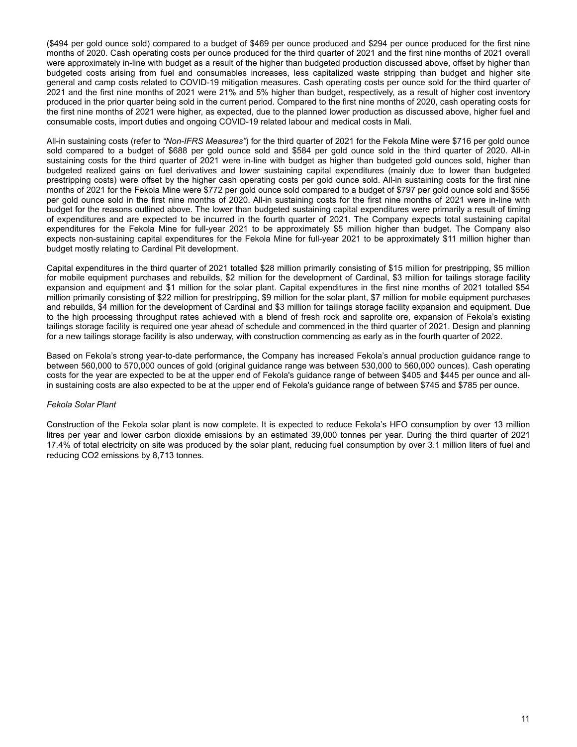(\$494 per gold ounce sold) compared to a budget of \$469 per ounce produced and \$294 per ounce produced for the first nine months of 2020. Cash operating costs per ounce produced for the third quarter of 2021 and the first nine months of 2021 overall were approximately in-line with budget as a result of the higher than budgeted production discussed above, offset by higher than budgeted costs arising from fuel and consumables increases, less capitalized waste stripping than budget and higher site general and camp costs related to COVID-19 mitigation measures. Cash operating costs per ounce sold for the third quarter of 2021 and the first nine months of 2021 were 21% and 5% higher than budget, respectively, as a result of higher cost inventory produced in the prior quarter being sold in the current period. Compared to the first nine months of 2020, cash operating costs for the first nine months of 2021 were higher, as expected, due to the planned lower production as discussed above, higher fuel and consumable costs, import duties and ongoing COVID-19 related labour and medical costs in Mali.

All-in sustaining costs (refer to *"Non-IFRS Measures"*) for the third quarter of 2021 for the Fekola Mine were \$716 per gold ounce sold compared to a budget of \$688 per gold ounce sold and \$584 per gold ounce sold in the third quarter of 2020. All-in sustaining costs for the third quarter of 2021 were in-line with budget as higher than budgeted gold ounces sold, higher than budgeted realized gains on fuel derivatives and lower sustaining capital expenditures (mainly due to lower than budgeted prestripping costs) were offset by the higher cash operating costs per gold ounce sold. All-in sustaining costs for the first nine months of 2021 for the Fekola Mine were \$772 per gold ounce sold compared to a budget of \$797 per gold ounce sold and \$556 per gold ounce sold in the first nine months of 2020. All-in sustaining costs for the first nine months of 2021 were in-line with budget for the reasons outlined above. The lower than budgeted sustaining capital expenditures were primarily a result of timing of expenditures and are expected to be incurred in the fourth quarter of 2021. The Company expects total sustaining capital expenditures for the Fekola Mine for full-year 2021 to be approximately \$5 million higher than budget. The Company also expects non-sustaining capital expenditures for the Fekola Mine for full-year 2021 to be approximately \$11 million higher than budget mostly relating to Cardinal Pit development.

Capital expenditures in the third quarter of 2021 totalled \$28 million primarily consisting of \$15 million for prestripping, \$5 million for mobile equipment purchases and rebuilds, \$2 million for the development of Cardinal, \$3 million for tailings storage facility expansion and equipment and \$1 million for the solar plant. Capital expenditures in the first nine months of 2021 totalled \$54 million primarily consisting of \$22 million for prestripping, \$9 million for the solar plant, \$7 million for mobile equipment purchases and rebuilds, \$4 million for the development of Cardinal and \$3 million for tailings storage facility expansion and equipment. Due to the high processing throughput rates achieved with a blend of fresh rock and saprolite ore, expansion of Fekola's existing tailings storage facility is required one year ahead of schedule and commenced in the third quarter of 2021. Design and planning for a new tailings storage facility is also underway, with construction commencing as early as in the fourth quarter of 2022.

Based on Fekola's strong year-to-date performance, the Company has increased Fekola's annual production guidance range to between 560,000 to 570,000 ounces of gold (original guidance range was between 530,000 to 560,000 ounces). Cash operating costs for the year are expected to be at the upper end of Fekola's guidance range of between \$405 and \$445 per ounce and allin sustaining costs are also expected to be at the upper end of Fekola's guidance range of between \$745 and \$785 per ounce.

## *Fekola Solar Plant*

Construction of the Fekola solar plant is now complete. It is expected to reduce Fekola's HFO consumption by over 13 million litres per year and lower carbon dioxide emissions by an estimated 39,000 tonnes per year. During the third quarter of 2021 17.4% of total electricity on site was produced by the solar plant, reducing fuel consumption by over 3.1 million liters of fuel and reducing CO2 emissions by 8,713 tonnes.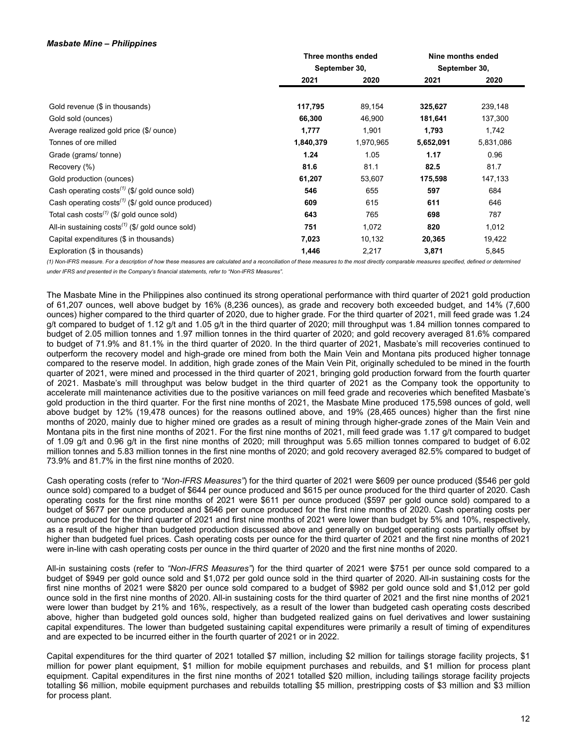## *Masbate Mine – Philippines*

|                                                                    | Three months ended |           |           | Nine months ended |
|--------------------------------------------------------------------|--------------------|-----------|-----------|-------------------|
|                                                                    | September 30,      |           |           | September 30,     |
|                                                                    | 2021               | 2020      | 2021      | 2020              |
|                                                                    |                    |           |           |                   |
| Gold revenue (\$ in thousands)                                     | 117,795            | 89,154    | 325,627   | 239,148           |
| Gold sold (ounces)                                                 | 66,300             | 46,900    | 181,641   | 137,300           |
| Average realized gold price (\$/ ounce)                            | 1,777              | 1,901     | 1,793     | 1,742             |
| Tonnes of ore milled                                               | 1,840,379          | 1,970,965 | 5,652,091 | 5,831,086         |
| Grade (grams/ tonne)                                               | 1.24               | 1.05      | 1.17      | 0.96              |
| Recovery (%)                                                       | 81.6               | 81.1      | 82.5      | 81.7              |
| Gold production (ounces)                                           | 61,207             | 53,607    | 175,598   | 147,133           |
| Cash operating $costs^{(1)}$ (\$/ gold ounce sold)                 | 546                | 655       | 597       | 684               |
| Cash operating costs <sup>(1)</sup> (\$/ gold ounce produced)      | 609                | 615       | 611       | 646               |
| Total cash costs <sup><math>(1)</math></sup> (\$/ gold ounce sold) | 643                | 765       | 698       | 787               |
| All-in sustaining $costs^{(1)}$ (\$/ gold ounce sold)              | 751                | 1,072     | 820       | 1,012             |
| Capital expenditures (\$ in thousands)                             | 7,023              | 10,132    | 20,365    | 19,422            |
| Exploration (\$ in thousands)                                      | 1,446              | 2,217     | 3,871     | 5,845             |

*(1) Non-IFRS measure. For a description of how these measures are calculated and a reconciliation of these measures to the most directly comparable measures specified, defined or determined under IFRS and presented in the Company's financial statements, refer to "Non-IFRS Measures".*

The Masbate Mine in the Philippines also continued its strong operational performance with third quarter of 2021 gold production of 61,207 ounces, well above budget by 16% (8,236 ounces), as grade and recovery both exceeded budget, and 14% (7,600 ounces) higher compared to the third quarter of 2020, due to higher grade. For the third quarter of 2021, mill feed grade was 1.24 g/t compared to budget of 1.12 g/t and 1.05 g/t in the third quarter of 2020; mill throughput was 1.84 million tonnes compared to budget of 2.05 million tonnes and 1.97 million tonnes in the third quarter of 2020; and gold recovery averaged 81.6% compared to budget of 71.9% and 81.1% in the third quarter of 2020. In the third quarter of 2021, Masbate's mill recoveries continued to outperform the recovery model and high-grade ore mined from both the Main Vein and Montana pits produced higher tonnage compared to the reserve model. In addition, high grade zones of the Main Vein Pit, originally scheduled to be mined in the fourth quarter of 2021, were mined and processed in the third quarter of 2021, bringing gold production forward from the fourth quarter of 2021. Masbate's mill throughput was below budget in the third quarter of 2021 as the Company took the opportunity to accelerate mill maintenance activities due to the positive variances on mill feed grade and recoveries which benefited Masbate's gold production in the third quarter. For the first nine months of 2021, the Masbate Mine produced 175,598 ounces of gold, well above budget by 12% (19,478 ounces) for the reasons outlined above, and 19% (28,465 ounces) higher than the first nine months of 2020, mainly due to higher mined ore grades as a result of mining through higher-grade zones of the Main Vein and Montana pits in the first nine months of 2021. For the first nine months of 2021, mill feed grade was 1.17 g/t compared to budget of 1.09 g/t and 0.96 g/t in the first nine months of 2020; mill throughput was 5.65 million tonnes compared to budget of 6.02 million tonnes and 5.83 million tonnes in the first nine months of 2020; and gold recovery averaged 82.5% compared to budget of 73.9% and 81.7% in the first nine months of 2020.

Cash operating costs (refer to *"Non-IFRS Measures"*) for the third quarter of 2021 were \$609 per ounce produced (\$546 per gold ounce sold) compared to a budget of \$644 per ounce produced and \$615 per ounce produced for the third quarter of 2020. Cash operating costs for the first nine months of 2021 were \$611 per ounce produced (\$597 per gold ounce sold) compared to a budget of \$677 per ounce produced and \$646 per ounce produced for the first nine months of 2020. Cash operating costs per ounce produced for the third quarter of 2021 and first nine months of 2021 were lower than budget by 5% and 10%, respectively, as a result of the higher than budgeted production discussed above and generally on budget operating costs partially offset by higher than budgeted fuel prices. Cash operating costs per ounce for the third quarter of 2021 and the first nine months of 2021 were in-line with cash operating costs per ounce in the third quarter of 2020 and the first nine months of 2020.

All-in sustaining costs (refer to *"Non-IFRS Measures"*) for the third quarter of 2021 were \$751 per ounce sold compared to a budget of \$949 per gold ounce sold and \$1,072 per gold ounce sold in the third quarter of 2020. All-in sustaining costs for the first nine months of 2021 were \$820 per ounce sold compared to a budget of \$982 per gold ounce sold and \$1,012 per gold ounce sold in the first nine months of 2020. All-in sustaining costs for the third quarter of 2021 and the first nine months of 2021 were lower than budget by 21% and 16%, respectively, as a result of the lower than budgeted cash operating costs described above, higher than budgeted gold ounces sold, higher than budgeted realized gains on fuel derivatives and lower sustaining capital expenditures. The lower than budgeted sustaining capital expenditures were primarily a result of timing of expenditures and are expected to be incurred either in the fourth quarter of 2021 or in 2022.

Capital expenditures for the third quarter of 2021 totalled \$7 million, including \$2 million for tailings storage facility projects, \$1 million for power plant equipment, \$1 million for mobile equipment purchases and rebuilds, and \$1 million for process plant equipment. Capital expenditures in the first nine months of 2021 totalled \$20 million, including tailings storage facility projects totalling \$6 million, mobile equipment purchases and rebuilds totalling \$5 million, prestripping costs of \$3 million and \$3 million for process plant.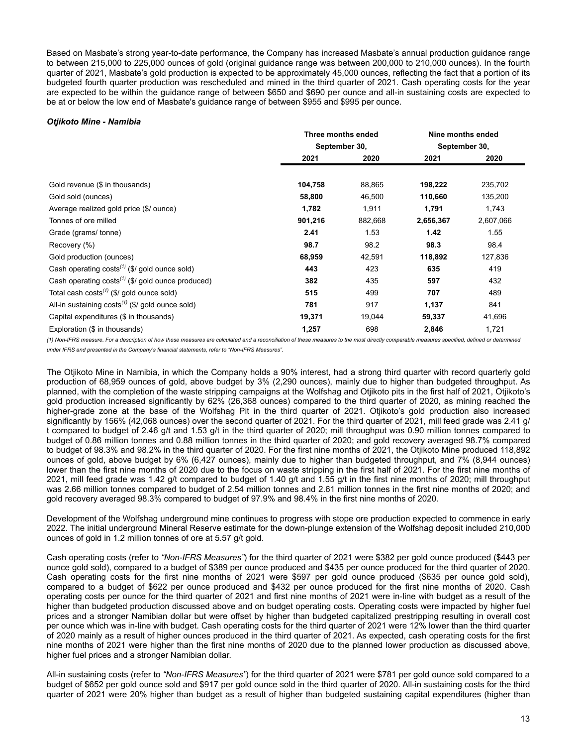Based on Masbate's strong year-to-date performance, the Company has increased Masbate's annual production guidance range to between 215,000 to 225,000 ounces of gold (original guidance range was between 200,000 to 210,000 ounces). In the fourth quarter of 2021, Masbate's gold production is expected to be approximately 45,000 ounces, reflecting the fact that a portion of its budgeted fourth quarter production was rescheduled and mined in the third quarter of 2021. Cash operating costs for the year are expected to be within the guidance range of between \$650 and \$690 per ounce and all-in sustaining costs are expected to be at or below the low end of Masbate's guidance range of between \$955 and \$995 per ounce.

#### *Otjikoto Mine - Namibia*

|                                                        | Three months ended |         | Nine months ended |           |
|--------------------------------------------------------|--------------------|---------|-------------------|-----------|
|                                                        | September 30,      |         | September 30,     |           |
|                                                        | 2021               | 2020    | 2021              | 2020      |
|                                                        |                    |         |                   |           |
| Gold revenue (\$ in thousands)                         | 104,758            | 88,865  | 198,222           | 235,702   |
| Gold sold (ounces)                                     | 58,800             | 46,500  | 110,660           | 135,200   |
| Average realized gold price (\$/ ounce)                | 1,782              | 1,911   | 1,791             | 1,743     |
| Tonnes of ore milled                                   | 901,216            | 882,668 | 2,656,367         | 2,607,066 |
| Grade (grams/ tonne)                                   | 2.41               | 1.53    | 1.42              | 1.55      |
| Recovery (%)                                           | 98.7               | 98.2    | 98.3              | 98.4      |
| Gold production (ounces)                               | 68,959             | 42,591  | 118,892           | 127,836   |
| Cash operating $costs^{(1)}$ (\$/ gold ounce sold)     | 443                | 423     | 635               | 419       |
| Cash operating $costs^{(1)}$ (\$/ gold ounce produced) | 382                | 435     | 597               | 432       |
| Total cash costs $(1)$ (\$/ gold ounce sold)           | 515                | 499     | 707               | 489       |
| All-in sustaining $costs^{(1)}$ (\$/ gold ounce sold)  | 781                | 917     | 1,137             | 841       |
| Capital expenditures (\$ in thousands)                 | 19,371             | 19,044  | 59,337            | 41,696    |
| Exploration (\$ in thousands)                          | 1,257              | 698     | 2,846             | 1,721     |

*(1) Non-IFRS measure. For a description of how these measures are calculated and a reconciliation of these measures to the most directly comparable measures specified, defined or determined under IFRS and presented in the Company's financial statements, refer to "Non-IFRS Measures".*

The Otjikoto Mine in Namibia, in which the Company holds a 90% interest, had a strong third quarter with record quarterly gold production of 68,959 ounces of gold, above budget by 3% (2,290 ounces), mainly due to higher than budgeted throughput. As planned, with the completion of the waste stripping campaigns at the Wolfshag and Otjikoto pits in the first half of 2021, Otjikoto's gold production increased significantly by 62% (26,368 ounces) compared to the third quarter of 2020, as mining reached the higher-grade zone at the base of the Wolfshag Pit in the third quarter of 2021. Otjikoto's gold production also increased significantly by 156% (42,068 ounces) over the second quarter of 2021. For the third quarter of 2021, mill feed grade was 2.41 g/ t compared to budget of 2.46 g/t and 1.53 g/t in the third quarter of 2020; mill throughput was 0.90 million tonnes compared to budget of 0.86 million tonnes and 0.88 million tonnes in the third quarter of 2020; and gold recovery averaged 98.7% compared to budget of 98.3% and 98.2% in the third quarter of 2020. For the first nine months of 2021, the Otjikoto Mine produced 118,892 ounces of gold, above budget by 6% (6,427 ounces), mainly due to higher than budgeted throughput, and 7% (8,944 ounces) lower than the first nine months of 2020 due to the focus on waste stripping in the first half of 2021. For the first nine months of 2021, mill feed grade was 1.42 g/t compared to budget of 1.40 g/t and 1.55 g/t in the first nine months of 2020; mill throughput was 2.66 million tonnes compared to budget of 2.54 million tonnes and 2.61 million tonnes in the first nine months of 2020; and gold recovery averaged 98.3% compared to budget of 97.9% and 98.4% in the first nine months of 2020.

Development of the Wolfshag underground mine continues to progress with stope ore production expected to commence in early 2022. The initial underground Mineral Reserve estimate for the down-plunge extension of the Wolfshag deposit included 210,000 ounces of gold in 1.2 million tonnes of ore at 5.57 g/t gold.

Cash operating costs (refer to *"Non-IFRS Measures"*) for the third quarter of 2021 were \$382 per gold ounce produced (\$443 per ounce gold sold), compared to a budget of \$389 per ounce produced and \$435 per ounce produced for the third quarter of 2020. Cash operating costs for the first nine months of 2021 were \$597 per gold ounce produced (\$635 per ounce gold sold), compared to a budget of \$622 per ounce produced and \$432 per ounce produced for the first nine months of 2020. Cash operating costs per ounce for the third quarter of 2021 and first nine months of 2021 were in-line with budget as a result of the higher than budgeted production discussed above and on budget operating costs. Operating costs were impacted by higher fuel prices and a stronger Namibian dollar but were offset by higher than budgeted capitalized prestripping resulting in overall cost per ounce which was in-line with budget. Cash operating costs for the third quarter of 2021 were 12% lower than the third quarter of 2020 mainly as a result of higher ounces produced in the third quarter of 2021. As expected, cash operating costs for the first nine months of 2021 were higher than the first nine months of 2020 due to the planned lower production as discussed above, higher fuel prices and a stronger Namibian dollar.

All-in sustaining costs (refer to *"Non-IFRS Measures"*) for the third quarter of 2021 were \$781 per gold ounce sold compared to a budget of \$652 per gold ounce sold and \$917 per gold ounce sold in the third quarter of 2020. All-in sustaining costs for the third quarter of 2021 were 20% higher than budget as a result of higher than budgeted sustaining capital expenditures (higher than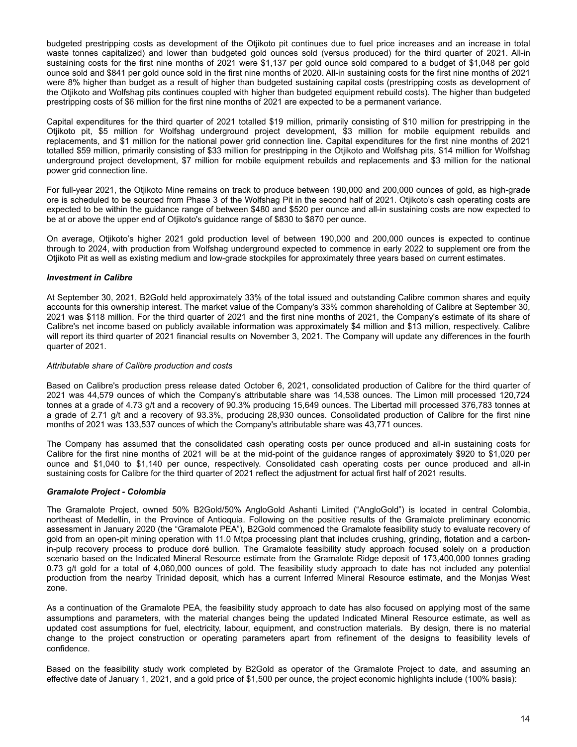budgeted prestripping costs as development of the Otjikoto pit continues due to fuel price increases and an increase in total waste tonnes capitalized) and lower than budgeted gold ounces sold (versus produced) for the third quarter of 2021. All-in sustaining costs for the first nine months of 2021 were \$1,137 per gold ounce sold compared to a budget of \$1,048 per gold ounce sold and \$841 per gold ounce sold in the first nine months of 2020. All-in sustaining costs for the first nine months of 2021 were 8% higher than budget as a result of higher than budgeted sustaining capital costs (prestripping costs as development of the Otjikoto and Wolfshag pits continues coupled with higher than budgeted equipment rebuild costs). The higher than budgeted prestripping costs of \$6 million for the first nine months of 2021 are expected to be a permanent variance.

Capital expenditures for the third quarter of 2021 totalled \$19 million, primarily consisting of \$10 million for prestripping in the Otjikoto pit, \$5 million for Wolfshag underground project development, \$3 million for mobile equipment rebuilds and replacements, and \$1 million for the national power grid connection line. Capital expenditures for the first nine months of 2021 totalled \$59 million, primarily consisting of \$33 million for prestripping in the Otjikoto and Wolfshag pits, \$14 million for Wolfshag underground project development, \$7 million for mobile equipment rebuilds and replacements and \$3 million for the national power grid connection line.

For full-year 2021, the Otjikoto Mine remains on track to produce between 190,000 and 200,000 ounces of gold, as high-grade ore is scheduled to be sourced from Phase 3 of the Wolfshag Pit in the second half of 2021. Otjikoto's cash operating costs are expected to be within the guidance range of between \$480 and \$520 per ounce and all-in sustaining costs are now expected to be at or above the upper end of Otjikoto's guidance range of \$830 to \$870 per ounce.

On average, Otjikoto's higher 2021 gold production level of between 190,000 and 200,000 ounces is expected to continue through to 2024, with production from Wolfshag underground expected to commence in early 2022 to supplement ore from the Otjikoto Pit as well as existing medium and low-grade stockpiles for approximately three years based on current estimates.

## *Investment in Calibre*

At September 30, 2021, B2Gold held approximately 33% of the total issued and outstanding Calibre common shares and equity accounts for this ownership interest. The market value of the Company's 33% common shareholding of Calibre at September 30, 2021 was \$118 million. For the third quarter of 2021 and the first nine months of 2021, the Company's estimate of its share of Calibre's net income based on publicly available information was approximately \$4 million and \$13 million, respectively. Calibre will report its third quarter of 2021 financial results on November 3, 2021. The Company will update any differences in the fourth quarter of 2021.

#### *Attributable share of Calibre production and costs*

Based on Calibre's production press release dated October 6, 2021, consolidated production of Calibre for the third quarter of 2021 was 44,579 ounces of which the Company's attributable share was 14,538 ounces. The Limon mill processed 120,724 tonnes at a grade of 4.73 g/t and a recovery of 90.3% producing 15,649 ounces. The Libertad mill processed 376,783 tonnes at a grade of 2.71 g/t and a recovery of 93.3%, producing 28,930 ounces. Consolidated production of Calibre for the first nine months of 2021 was 133,537 ounces of which the Company's attributable share was 43,771 ounces.

The Company has assumed that the consolidated cash operating costs per ounce produced and all-in sustaining costs for Calibre for the first nine months of 2021 will be at the mid-point of the guidance ranges of approximately \$920 to \$1,020 per ounce and \$1,040 to \$1,140 per ounce, respectively. Consolidated cash operating costs per ounce produced and all-in sustaining costs for Calibre for the third quarter of 2021 reflect the adjustment for actual first half of 2021 results.

## *Gramalote Project - Colombia*

The Gramalote Project, owned 50% B2Gold/50% AngloGold Ashanti Limited ("AngloGold") is located in central Colombia, northeast of Medellin, in the Province of Antioquia. Following on the positive results of the Gramalote preliminary economic assessment in January 2020 (the "Gramalote PEA"), B2Gold commenced the Gramalote feasibility study to evaluate recovery of gold from an open-pit mining operation with 11.0 Mtpa processing plant that includes crushing, grinding, flotation and a carbonin-pulp recovery process to produce doré bullion. The Gramalote feasibility study approach focused solely on a production scenario based on the Indicated Mineral Resource estimate from the Gramalote Ridge deposit of 173,400,000 tonnes grading 0.73 g/t gold for a total of 4,060,000 ounces of gold. The feasibility study approach to date has not included any potential production from the nearby Trinidad deposit, which has a current Inferred Mineral Resource estimate, and the Monjas West zone.

As a continuation of the Gramalote PEA, the feasibility study approach to date has also focused on applying most of the same assumptions and parameters, with the material changes being the updated Indicated Mineral Resource estimate, as well as updated cost assumptions for fuel, electricity, labour, equipment, and construction materials. By design, there is no material change to the project construction or operating parameters apart from refinement of the designs to feasibility levels of confidence.

Based on the feasibility study work completed by B2Gold as operator of the Gramalote Project to date, and assuming an effective date of January 1, 2021, and a gold price of \$1,500 per ounce, the project economic highlights include (100% basis):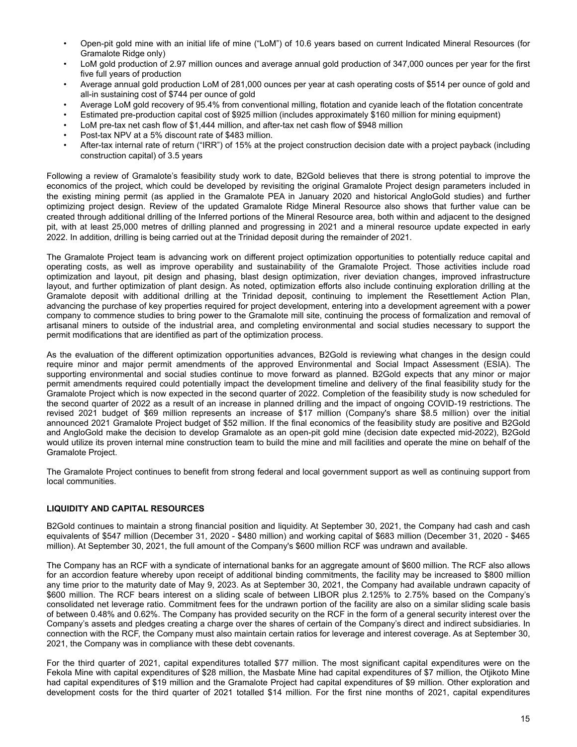- <span id="page-14-0"></span>• Open-pit gold mine with an initial life of mine ("LoM") of 10.6 years based on current Indicated Mineral Resources (for Gramalote Ridge only)
- LoM gold production of 2.97 million ounces and average annual gold production of 347,000 ounces per year for the first five full years of production
- Average annual gold production LoM of 281,000 ounces per year at cash operating costs of \$514 per ounce of gold and all-in sustaining cost of \$744 per ounce of gold
- Average LoM gold recovery of 95.4% from conventional milling, flotation and cyanide leach of the flotation concentrate
- Estimated pre-production capital cost of \$925 million (includes approximately \$160 million for mining equipment)
- LoM pre-tax net cash flow of \$1,444 million, and after-tax net cash flow of \$948 million
- Post-tax NPV at a 5% discount rate of \$483 million.
- After-tax internal rate of return ("IRR") of 15% at the project construction decision date with a project payback (including construction capital) of 3.5 years

Following a review of Gramalote's feasibility study work to date, B2Gold believes that there is strong potential to improve the economics of the project, which could be developed by revisiting the original Gramalote Project design parameters included in the existing mining permit (as applied in the Gramalote PEA in January 2020 and historical AngloGold studies) and further optimizing project design. Review of the updated Gramalote Ridge Mineral Resource also shows that further value can be created through additional drilling of the Inferred portions of the Mineral Resource area, both within and adjacent to the designed pit, with at least 25,000 metres of drilling planned and progressing in 2021 and a mineral resource update expected in early 2022. In addition, drilling is being carried out at the Trinidad deposit during the remainder of 2021.

The Gramalote Project team is advancing work on different project optimization opportunities to potentially reduce capital and operating costs, as well as improve operability and sustainability of the Gramalote Project. Those activities include road optimization and layout, pit design and phasing, blast design optimization, river deviation changes, improved infrastructure layout, and further optimization of plant design. As noted, optimization efforts also include continuing exploration drilling at the Gramalote deposit with additional drilling at the Trinidad deposit, continuing to implement the Resettlement Action Plan, advancing the purchase of key properties required for project development, entering into a development agreement with a power company to commence studies to bring power to the Gramalote mill site, continuing the process of formalization and removal of artisanal miners to outside of the industrial area, and completing environmental and social studies necessary to support the permit modifications that are identified as part of the optimization process.

As the evaluation of the different optimization opportunities advances, B2Gold is reviewing what changes in the design could require minor and major permit amendments of the approved Environmental and Social Impact Assessment (ESIA). The supporting environmental and social studies continue to move forward as planned. B2Gold expects that any minor or major permit amendments required could potentially impact the development timeline and delivery of the final feasibility study for the Gramalote Project which is now expected in the second quarter of 2022. Completion of the feasibility study is now scheduled for the second quarter of 2022 as a result of an increase in planned drilling and the impact of ongoing COVID-19 restrictions. The revised 2021 budget of \$69 million represents an increase of \$17 million (Company's share \$8.5 million) over the initial announced 2021 Gramalote Project budget of \$52 million. If the final economics of the feasibility study are positive and B2Gold and AngloGold make the decision to develop Gramalote as an open-pit gold mine (decision date expected mid-2022), B2Gold would utilize its proven internal mine construction team to build the mine and mill facilities and operate the mine on behalf of the Gramalote Project.

The Gramalote Project continues to benefit from strong federal and local government support as well as continuing support from local communities.

# **LIQUIDITY AND CAPITAL RESOURCES**

B2Gold continues to maintain a strong financial position and liquidity. At September 30, 2021, the Company had cash and cash equivalents of \$547 million (December 31, 2020 - \$480 million) and working capital of \$683 million (December 31, 2020 - \$465 million). At September 30, 2021, the full amount of the Company's \$600 million RCF was undrawn and available.

The Company has an RCF with a syndicate of international banks for an aggregate amount of \$600 million. The RCF also allows for an accordion feature whereby upon receipt of additional binding commitments, the facility may be increased to \$800 million any time prior to the maturity date of May 9, 2023. As at September 30, 2021, the Company had available undrawn capacity of \$600 million. The RCF bears interest on a sliding scale of between LIBOR plus 2.125% to 2.75% based on the Company's consolidated net leverage ratio. Commitment fees for the undrawn portion of the facility are also on a similar sliding scale basis of between 0.48% and 0.62%. The Company has provided security on the RCF in the form of a general security interest over the Company's assets and pledges creating a charge over the shares of certain of the Company's direct and indirect subsidiaries. In connection with the RCF, the Company must also maintain certain ratios for leverage and interest coverage. As at September 30, 2021, the Company was in compliance with these debt covenants.

For the third quarter of 2021, capital expenditures totalled \$77 million. The most significant capital expenditures were on the Fekola Mine with capital expenditures of \$28 million, the Masbate Mine had capital expenditures of \$7 million, the Otjikoto Mine had capital expenditures of \$19 million and the Gramalote Project had capital expenditures of \$9 million. Other exploration and development costs for the third quarter of 2021 totalled \$14 million. For the first nine months of 2021, capital expenditures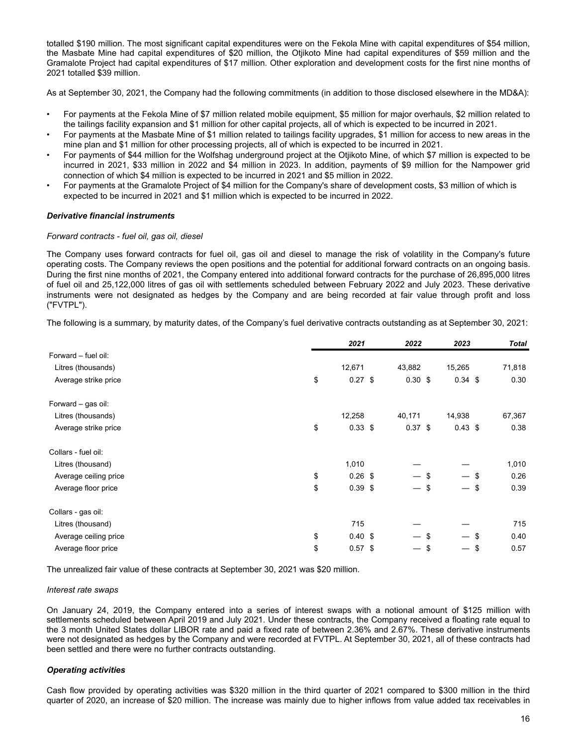totalled \$190 million. The most significant capital expenditures were on the Fekola Mine with capital expenditures of \$54 million, the Masbate Mine had capital expenditures of \$20 million, the Otjikoto Mine had capital expenditures of \$59 million and the Gramalote Project had capital expenditures of \$17 million. Other exploration and development costs for the first nine months of 2021 totalled \$39 million.

As at September 30, 2021, the Company had the following commitments (in addition to those disclosed elsewhere in the MD&A):

- For payments at the Fekola Mine of \$7 million related mobile equipment, \$5 million for major overhauls, \$2 million related to the tailings facility expansion and \$1 million for other capital projects, all of which is expected to be incurred in 2021.
- For payments at the Masbate Mine of \$1 million related to tailings facility upgrades, \$1 million for access to new areas in the mine plan and \$1 million for other processing projects, all of which is expected to be incurred in 2021.
- For payments of \$44 million for the Wolfshag underground project at the Otjikoto Mine, of which \$7 million is expected to be incurred in 2021, \$33 million in 2022 and \$4 million in 2023. In addition, payments of \$9 million for the Nampower grid connection of which \$4 million is expected to be incurred in 2021 and \$5 million in 2022.
- For payments at the Gramalote Project of \$4 million for the Company's share of development costs, \$3 million of which is expected to be incurred in 2021 and \$1 million which is expected to be incurred in 2022.

#### *Derivative financial instruments*

## *Forward contracts - fuel oil, gas oil, diesel*

The Company uses forward contracts for fuel oil, gas oil and diesel to manage the risk of volatility in the Company's future operating costs. The Company reviews the open positions and the potential for additional forward contracts on an ongoing basis. During the first nine months of 2021, the Company entered into additional forward contracts for the purchase of 26,895,000 litres of fuel oil and 25,122,000 litres of gas oil with settlements scheduled between February 2022 and July 2023. These derivative instruments were not designated as hedges by the Company and are being recorded at fair value through profit and loss ("FVTPL").

The following is a summary, by maturity dates, of the Company's fuel derivative contracts outstanding as at September 30, 2021:

|                       | 2021            | 2022                     |     | 2023      |     | <b>Total</b> |
|-----------------------|-----------------|--------------------------|-----|-----------|-----|--------------|
| Forward - fuel oil:   |                 |                          |     |           |     |              |
| Litres (thousands)    | 12,671          | 43,882                   |     | 15,265    |     | 71,818       |
| Average strike price  | \$<br>$0.27$ \$ | $0.30$ \$                |     | $0.34$ \$ |     | 0.30         |
| Forward - gas oil:    |                 |                          |     |           |     |              |
| Litres (thousands)    | 12,258          | 40,171                   |     | 14,938    |     | 67,367       |
| Average strike price  | \$<br>$0.33$ \$ | $0.37$ \$                |     | $0.43$ \$ |     | 0.38         |
| Collars - fuel oil:   |                 |                          |     |           |     |              |
| Litres (thousand)     | 1,010           |                          |     |           |     | 1,010        |
| Average ceiling price | \$<br>$0.26$ \$ |                          | -\$ | — \$      |     | 0.26         |
| Average floor price   | \$<br>$0.39$ \$ |                          | -\$ | — \$      |     | 0.39         |
| Collars - gas oil:    |                 |                          |     |           |     |              |
| Litres (thousand)     | 715             |                          |     |           |     | 715          |
| Average ceiling price | \$<br>0.40~\$   |                          | \$  |           | -\$ | 0.40         |
| Average floor price   | \$<br>$0.57$ \$ | $\overline{\phantom{m}}$ | \$  |           | \$  | 0.57         |

The unrealized fair value of these contracts at September 30, 2021 was \$20 million.

#### *Interest rate swaps*

On January 24, 2019, the Company entered into a series of interest swaps with a notional amount of \$125 million with settlements scheduled between April 2019 and July 2021. Under these contracts, the Company received a floating rate equal to the 3 month United States dollar LIBOR rate and paid a fixed rate of between 2.36% and 2.67%. These derivative instruments were not designated as hedges by the Company and were recorded at FVTPL. At September 30, 2021, all of these contracts had been settled and there were no further contracts outstanding.

## *Operating activities*

Cash flow provided by operating activities was \$320 million in the third quarter of 2021 compared to \$300 million in the third quarter of 2020, an increase of \$20 million. The increase was mainly due to higher inflows from value added tax receivables in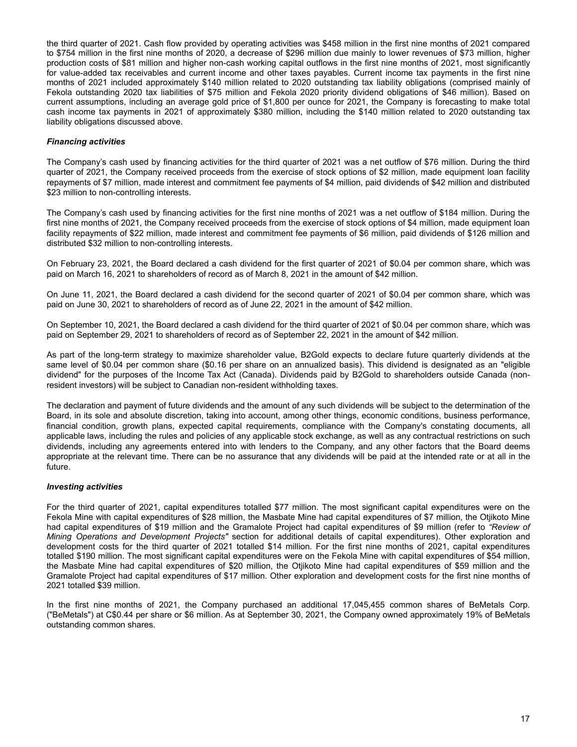the third quarter of 2021. Cash flow provided by operating activities was \$458 million in the first nine months of 2021 compared to \$754 million in the first nine months of 2020, a decrease of \$296 million due mainly to lower revenues of \$73 million, higher production costs of \$81 million and higher non-cash working capital outflows in the first nine months of 2021, most significantly for value-added tax receivables and current income and other taxes payables. Current income tax payments in the first nine months of 2021 included approximately \$140 million related to 2020 outstanding tax liability obligations (comprised mainly of Fekola outstanding 2020 tax liabilities of \$75 million and Fekola 2020 priority dividend obligations of \$46 million). Based on current assumptions, including an average gold price of \$1,800 per ounce for 2021, the Company is forecasting to make total cash income tax payments in 2021 of approximately \$380 million, including the \$140 million related to 2020 outstanding tax liability obligations discussed above.

## *Financing activities*

The Company's cash used by financing activities for the third quarter of 2021 was a net outflow of \$76 million. During the third quarter of 2021, the Company received proceeds from the exercise of stock options of \$2 million, made equipment loan facility repayments of \$7 million, made interest and commitment fee payments of \$4 million, paid dividends of \$42 million and distributed \$23 million to non-controlling interests.

The Company's cash used by financing activities for the first nine months of 2021 was a net outflow of \$184 million. During the first nine months of 2021, the Company received proceeds from the exercise of stock options of \$4 million, made equipment loan facility repayments of \$22 million, made interest and commitment fee payments of \$6 million, paid dividends of \$126 million and distributed \$32 million to non-controlling interests.

On February 23, 2021, the Board declared a cash dividend for the first quarter of 2021 of \$0.04 per common share, which was paid on March 16, 2021 to shareholders of record as of March 8, 2021 in the amount of \$42 million.

On June 11, 2021, the Board declared a cash dividend for the second quarter of 2021 of \$0.04 per common share, which was paid on June 30, 2021 to shareholders of record as of June 22, 2021 in the amount of \$42 million.

On September 10, 2021, the Board declared a cash dividend for the third quarter of 2021 of \$0.04 per common share, which was paid on September 29, 2021 to shareholders of record as of September 22, 2021 in the amount of \$42 million.

As part of the long-term strategy to maximize shareholder value, B2Gold expects to declare future quarterly dividends at the same level of \$0.04 per common share (\$0.16 per share on an annualized basis). This dividend is designated as an "eligible dividend" for the purposes of the Income Tax Act (Canada). Dividends paid by B2Gold to shareholders outside Canada (nonresident investors) will be subject to Canadian non-resident withholding taxes.

The declaration and payment of future dividends and the amount of any such dividends will be subject to the determination of the Board, in its sole and absolute discretion, taking into account, among other things, economic conditions, business performance, financial condition, growth plans, expected capital requirements, compliance with the Company's constating documents, all applicable laws, including the rules and policies of any applicable stock exchange, as well as any contractual restrictions on such dividends, including any agreements entered into with lenders to the Company, and any other factors that the Board deems appropriate at the relevant time. There can be no assurance that any dividends will be paid at the intended rate or at all in the future.

## *Investing activities*

For the third quarter of 2021, capital expenditures totalled \$77 million. The most significant capital expenditures were on the Fekola Mine with capital expenditures of \$28 million, the Masbate Mine had capital expenditures of \$7 million, the Otjikoto Mine had capital expenditures of \$19 million and the Gramalote Project had capital expenditures of \$9 million (refer to *"Review of Mining Operations and Development Projects"* section for additional details of capital expenditures). Other exploration and development costs for the third quarter of 2021 totalled \$14 million. For the first nine months of 2021, capital expenditures totalled \$190 million. The most significant capital expenditures were on the Fekola Mine with capital expenditures of \$54 million, the Masbate Mine had capital expenditures of \$20 million, the Otjikoto Mine had capital expenditures of \$59 million and the Gramalote Project had capital expenditures of \$17 million. Other exploration and development costs for the first nine months of 2021 totalled \$39 million.

In the first nine months of 2021, the Company purchased an additional 17,045,455 common shares of BeMetals Corp. ("BeMetals") at C\$0.44 per share or \$6 million. As at September 30, 2021, the Company owned approximately 19% of BeMetals outstanding common shares.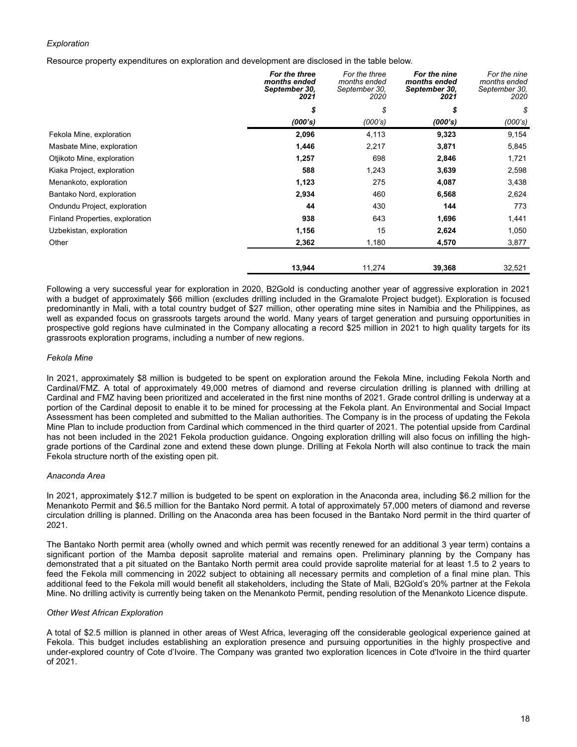# *Exploration*

Resource property expenditures on exploration and development are disclosed in the table below.

|                                 | For the three<br>months ended<br>September 30.<br>2021 | For the three<br>months ended<br>September 30,<br>2020 | For the nine<br>months ended<br>September 30,<br>2021 | For the nine<br>months ended<br>September 30,<br>2020 |
|---------------------------------|--------------------------------------------------------|--------------------------------------------------------|-------------------------------------------------------|-------------------------------------------------------|
|                                 | \$                                                     | \$                                                     | \$                                                    | \$                                                    |
|                                 | (000's)                                                | (000's)                                                | (000's)                                               | (000's)                                               |
| Fekola Mine, exploration        | 2,096                                                  | 4,113                                                  | 9,323                                                 | 9,154                                                 |
| Masbate Mine, exploration       | 1,446                                                  | 2,217                                                  | 3,871                                                 | 5,845                                                 |
| Otjikoto Mine, exploration      | 1,257                                                  | 698                                                    | 2,846                                                 | 1,721                                                 |
| Kiaka Project, exploration      | 588                                                    | 1,243                                                  | 3,639                                                 | 2,598                                                 |
| Menankoto, exploration          | 1,123                                                  | 275                                                    | 4,087                                                 | 3,438                                                 |
| Bantako Nord, exploration       | 2,934                                                  | 460                                                    | 6,568                                                 | 2,624                                                 |
| Ondundu Project, exploration    | 44                                                     | 430                                                    | 144                                                   | 773                                                   |
| Finland Properties, exploration | 938                                                    | 643                                                    | 1,696                                                 | 1,441                                                 |
| Uzbekistan, exploration         | 1,156                                                  | 15                                                     | 2,624                                                 | 1,050                                                 |
| Other                           | 2,362                                                  | 1,180                                                  | 4,570                                                 | 3,877                                                 |
|                                 | 13,944                                                 | 11,274                                                 | 39,368                                                | 32,521                                                |

Following a very successful year for exploration in 2020, B2Gold is conducting another year of aggressive exploration in 2021 with a budget of approximately \$66 million (excludes drilling included in the Gramalote Project budget). Exploration is focused predominantly in Mali, with a total country budget of \$27 million, other operating mine sites in Namibia and the Philippines, as well as expanded focus on grassroots targets around the world. Many years of target generation and pursuing opportunities in prospective gold regions have culminated in the Company allocating a record \$25 million in 2021 to high quality targets for its grassroots exploration programs, including a number of new regions.

# *Fekola Mine*

In 2021, approximately \$8 million is budgeted to be spent on exploration around the Fekola Mine, including Fekola North and Cardinal/FMZ. A total of approximately 49,000 metres of diamond and reverse circulation drilling is planned with drilling at Cardinal and FMZ having been prioritized and accelerated in the first nine months of 2021. Grade control drilling is underway at a portion of the Cardinal deposit to enable it to be mined for processing at the Fekola plant. An Environmental and Social Impact Assessment has been completed and submitted to the Malian authorities. The Company is in the process of updating the Fekola Mine Plan to include production from Cardinal which commenced in the third quarter of 2021. The potential upside from Cardinal has not been included in the 2021 Fekola production guidance. Ongoing exploration drilling will also focus on infilling the highgrade portions of the Cardinal zone and extend these down plunge. Drilling at Fekola North will also continue to track the main Fekola structure north of the existing open pit.

## *Anaconda Area*

In 2021, approximately \$12.7 million is budgeted to be spent on exploration in the Anaconda area, including \$6.2 million for the Menankoto Permit and \$6.5 million for the Bantako Nord permit. A total of approximately 57,000 meters of diamond and reverse circulation drilling is planned. Drilling on the Anaconda area has been focused in the Bantako Nord permit in the third quarter of 2021.

The Bantako North permit area (wholly owned and which permit was recently renewed for an additional 3 year term) contains a significant portion of the Mamba deposit saprolite material and remains open. Preliminary planning by the Company has demonstrated that a pit situated on the Bantako North permit area could provide saprolite material for at least 1.5 to 2 years to feed the Fekola mill commencing in 2022 subject to obtaining all necessary permits and completion of a final mine plan. This additional feed to the Fekola mill would benefit all stakeholders, including the State of Mali, B2Gold's 20% partner at the Fekola Mine. No drilling activity is currently being taken on the Menankoto Permit, pending resolution of the Menankoto Licence dispute.

## *Other West African Exploration*

A total of \$2.5 million is planned in other areas of West Africa, leveraging off the considerable geological experience gained at Fekola. This budget includes establishing an exploration presence and pursuing opportunities in the highly prospective and under-explored country of Cote d'Ivoire. The Company was granted two exploration licences in Cote d'Ivoire in the third quarter of 2021.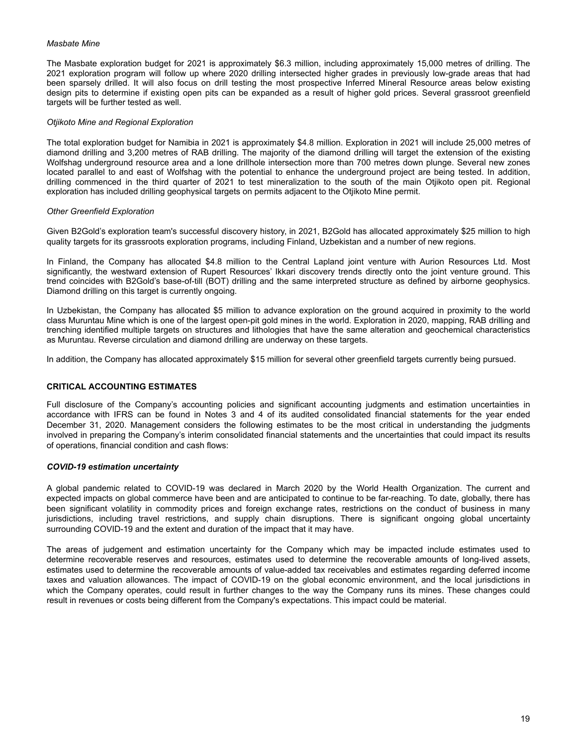## <span id="page-18-0"></span>*Masbate Mine*

The Masbate exploration budget for 2021 is approximately \$6.3 million, including approximately 15,000 metres of drilling. The 2021 exploration program will follow up where 2020 drilling intersected higher grades in previously low-grade areas that had been sparsely drilled. It will also focus on drill testing the most prospective Inferred Mineral Resource areas below existing design pits to determine if existing open pits can be expanded as a result of higher gold prices. Several grassroot greenfield targets will be further tested as well.

#### *Otjikoto Mine and Regional Exploration*

The total exploration budget for Namibia in 2021 is approximately \$4.8 million. Exploration in 2021 will include 25,000 metres of diamond drilling and 3,200 metres of RAB drilling. The majority of the diamond drilling will target the extension of the existing Wolfshag underground resource area and a lone drillhole intersection more than 700 metres down plunge. Several new zones located parallel to and east of Wolfshag with the potential to enhance the underground project are being tested. In addition, drilling commenced in the third quarter of 2021 to test mineralization to the south of the main Otjikoto open pit. Regional exploration has included drilling geophysical targets on permits adjacent to the Otjikoto Mine permit.

#### *Other Greenfield Exploration*

Given B2Gold's exploration team's successful discovery history, in 2021, B2Gold has allocated approximately \$25 million to high quality targets for its grassroots exploration programs, including Finland, Uzbekistan and a number of new regions.

In Finland, the Company has allocated \$4.8 million to the Central Lapland joint venture with Aurion Resources Ltd. Most significantly, the westward extension of Rupert Resources' Ikkari discovery trends directly onto the joint venture ground. This trend coincides with B2Gold's base-of-till (BOT) drilling and the same interpreted structure as defined by airborne geophysics. Diamond drilling on this target is currently ongoing.

In Uzbekistan, the Company has allocated \$5 million to advance exploration on the ground acquired in proximity to the world class Muruntau Mine which is one of the largest open-pit gold mines in the world. Exploration in 2020, mapping, RAB drilling and trenching identified multiple targets on structures and lithologies that have the same alteration and geochemical characteristics as Muruntau. Reverse circulation and diamond drilling are underway on these targets.

In addition, the Company has allocated approximately \$15 million for several other greenfield targets currently being pursued.

## **CRITICAL ACCOUNTING ESTIMATES**

Full disclosure of the Company's accounting policies and significant accounting judgments and estimation uncertainties in accordance with IFRS can be found in Notes 3 and 4 of its audited consolidated financial statements for the year ended December 31, 2020. Management considers the following estimates to be the most critical in understanding the judgments involved in preparing the Company's interim consolidated financial statements and the uncertainties that could impact its results of operations, financial condition and cash flows:

## *COVID-19 estimation uncertainty*

A global pandemic related to COVID-19 was declared in March 2020 by the World Health Organization. The current and expected impacts on global commerce have been and are anticipated to continue to be far-reaching. To date, globally, there has been significant volatility in commodity prices and foreign exchange rates, restrictions on the conduct of business in many jurisdictions, including travel restrictions, and supply chain disruptions. There is significant ongoing global uncertainty surrounding COVID-19 and the extent and duration of the impact that it may have.

The areas of judgement and estimation uncertainty for the Company which may be impacted include estimates used to determine recoverable reserves and resources, estimates used to determine the recoverable amounts of long-lived assets, estimates used to determine the recoverable amounts of value-added tax receivables and estimates regarding deferred income taxes and valuation allowances. The impact of COVID-19 on the global economic environment, and the local jurisdictions in which the Company operates, could result in further changes to the way the Company runs its mines. These changes could result in revenues or costs being different from the Company's expectations. This impact could be material.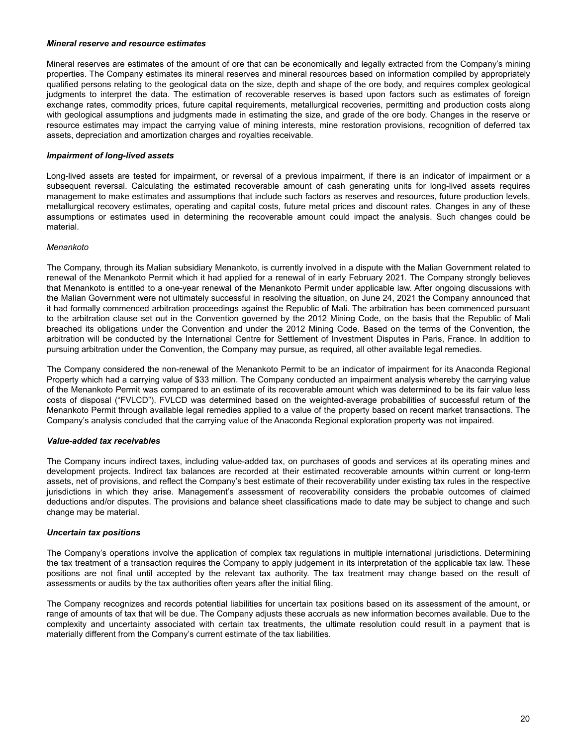#### *Mineral reserve and resource estimates*

Mineral reserves are estimates of the amount of ore that can be economically and legally extracted from the Company's mining properties. The Company estimates its mineral reserves and mineral resources based on information compiled by appropriately qualified persons relating to the geological data on the size, depth and shape of the ore body, and requires complex geological judgments to interpret the data. The estimation of recoverable reserves is based upon factors such as estimates of foreign exchange rates, commodity prices, future capital requirements, metallurgical recoveries, permitting and production costs along with geological assumptions and judgments made in estimating the size, and grade of the ore body. Changes in the reserve or resource estimates may impact the carrying value of mining interests, mine restoration provisions, recognition of deferred tax assets, depreciation and amortization charges and royalties receivable.

#### *Impairment of long-lived assets*

Long-lived assets are tested for impairment, or reversal of a previous impairment, if there is an indicator of impairment or a subsequent reversal. Calculating the estimated recoverable amount of cash generating units for long-lived assets requires management to make estimates and assumptions that include such factors as reserves and resources, future production levels, metallurgical recovery estimates, operating and capital costs, future metal prices and discount rates. Changes in any of these assumptions or estimates used in determining the recoverable amount could impact the analysis. Such changes could be material.

#### *Menankoto*

The Company, through its Malian subsidiary Menankoto, is currently involved in a dispute with the Malian Government related to renewal of the Menankoto Permit which it had applied for a renewal of in early February 2021. The Company strongly believes that Menankoto is entitled to a one-year renewal of the Menankoto Permit under applicable law. After ongoing discussions with the Malian Government were not ultimately successful in resolving the situation, on June 24, 2021 the Company announced that it had formally commenced arbitration proceedings against the Republic of Mali. The arbitration has been commenced pursuant to the arbitration clause set out in the Convention governed by the 2012 Mining Code, on the basis that the Republic of Mali breached its obligations under the Convention and under the 2012 Mining Code. Based on the terms of the Convention, the arbitration will be conducted by the International Centre for Settlement of Investment Disputes in Paris, France. In addition to pursuing arbitration under the Convention, the Company may pursue, as required, all other available legal remedies.

The Company considered the non-renewal of the Menankoto Permit to be an indicator of impairment for its Anaconda Regional Property which had a carrying value of \$33 million. The Company conducted an impairment analysis whereby the carrying value of the Menankoto Permit was compared to an estimate of its recoverable amount which was determined to be its fair value less costs of disposal ("FVLCD"). FVLCD was determined based on the weighted-average probabilities of successful return of the Menankoto Permit through available legal remedies applied to a value of the property based on recent market transactions. The Company's analysis concluded that the carrying value of the Anaconda Regional exploration property was not impaired.

#### *Value-added tax receivables*

The Company incurs indirect taxes, including value-added tax, on purchases of goods and services at its operating mines and development projects. Indirect tax balances are recorded at their estimated recoverable amounts within current or long-term assets, net of provisions, and reflect the Company's best estimate of their recoverability under existing tax rules in the respective jurisdictions in which they arise. Management's assessment of recoverability considers the probable outcomes of claimed deductions and/or disputes. The provisions and balance sheet classifications made to date may be subject to change and such change may be material.

## *Uncertain tax positions*

The Company's operations involve the application of complex tax regulations in multiple international jurisdictions. Determining the tax treatment of a transaction requires the Company to apply judgement in its interpretation of the applicable tax law. These positions are not final until accepted by the relevant tax authority. The tax treatment may change based on the result of assessments or audits by the tax authorities often years after the initial filing.

The Company recognizes and records potential liabilities for uncertain tax positions based on its assessment of the amount, or range of amounts of tax that will be due. The Company adjusts these accruals as new information becomes available. Due to the complexity and uncertainty associated with certain tax treatments, the ultimate resolution could result in a payment that is materially different from the Company's current estimate of the tax liabilities.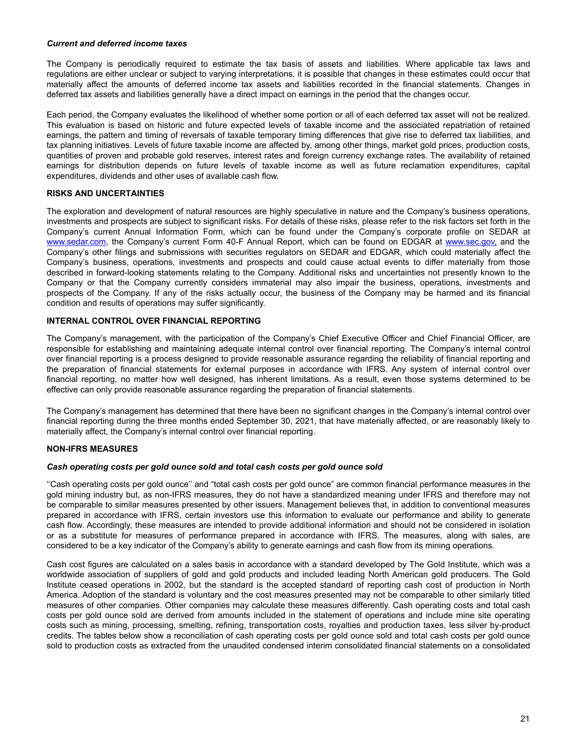#### <span id="page-20-0"></span>*Current and deferred income taxes*

The Company is periodically required to estimate the tax basis of assets and liabilities. Where applicable tax laws and regulations are either unclear or subject to varying interpretations, it is possible that changes in these estimates could occur that materially affect the amounts of deferred income tax assets and liabilities recorded in the financial statements. Changes in deferred tax assets and liabilities generally have a direct impact on earnings in the period that the changes occur.

Each period, the Company evaluates the likelihood of whether some portion or all of each deferred tax asset will not be realized. This evaluation is based on historic and future expected levels of taxable income and the associated repatriation of retained earnings, the pattern and timing of reversals of taxable temporary timing differences that give rise to deferred tax liabilities, and tax planning initiatives. Levels of future taxable income are affected by, among other things, market gold prices, production costs, quantities of proven and probable gold reserves, interest rates and foreign currency exchange rates. The availability of retained earnings for distribution depends on future levels of taxable income as well as future reclamation expenditures, capital expenditures, dividends and other uses of available cash flow.

## **RISKS AND UNCERTAINTIES**

The exploration and development of natural resources are highly speculative in nature and the Company's business operations, investments and prospects are subject to significant risks. For details of these risks, please refer to the risk factors set forth in the Company's current Annual Information Form, which can be found under the Company's corporate profile on SEDAR at www.sedar.com, the Company's current Form 40-F Annual Report, which can be found on EDGAR at www.sec.gov, and the Company's other filings and submissions with securities regulators on SEDAR and EDGAR, which could materially affect the Company's business, operations, investments and prospects and could cause actual events to differ materially from those described in forward-looking statements relating to the Company. Additional risks and uncertainties not presently known to the Company or that the Company currently considers immaterial may also impair the business, operations, investments and prospects of the Company. If any of the risks actually occur, the business of the Company may be harmed and its financial condition and results of operations may suffer significantly.

## **INTERNAL CONTROL OVER FINANCIAL REPORTING**

The Company's management, with the participation of the Company's Chief Executive Officer and Chief Financial Officer, are responsible for establishing and maintaining adequate internal control over financial reporting. The Company's internal control over financial reporting is a process designed to provide reasonable assurance regarding the reliability of financial reporting and the preparation of financial statements for external purposes in accordance with IFRS. Any system of internal control over financial reporting, no matter how well designed, has inherent limitations. As a result, even those systems determined to be effective can only provide reasonable assurance regarding the preparation of financial statements.

The Company's management has determined that there have been no significant changes in the Company's internal control over financial reporting during the three months ended September 30, 2021, that have materially affected, or are reasonably likely to materially affect, the Company's internal control over financial reporting.

# **NON-IFRS MEASURES**

## *Cash operating costs per gold ounce sold and total cash costs per gold ounce sold*

''Cash operating costs per gold ounce'' and "total cash costs per gold ounce" are common financial performance measures in the gold mining industry but, as non-IFRS measures, they do not have a standardized meaning under IFRS and therefore may not be comparable to similar measures presented by other issuers. Management believes that, in addition to conventional measures prepared in accordance with IFRS, certain investors use this information to evaluate our performance and ability to generate cash flow. Accordingly, these measures are intended to provide additional information and should not be considered in isolation or as a substitute for measures of performance prepared in accordance with IFRS. The measures, along with sales, are considered to be a key indicator of the Company's ability to generate earnings and cash flow from its mining operations.

Cash cost figures are calculated on a sales basis in accordance with a standard developed by The Gold Institute, which was a worldwide association of suppliers of gold and gold products and included leading North American gold producers. The Gold Institute ceased operations in 2002, but the standard is the accepted standard of reporting cash cost of production in North America. Adoption of the standard is voluntary and the cost measures presented may not be comparable to other similarly titled measures of other companies. Other companies may calculate these measures differently. Cash operating costs and total cash costs per gold ounce sold are derived from amounts included in the statement of operations and include mine site operating costs such as mining, processing, smelting, refining, transportation costs, royalties and production taxes, less silver by-product credits. The tables below show a reconciliation of cash operating costs per gold ounce sold and total cash costs per gold ounce sold to production costs as extracted from the unaudited condensed interim consolidated financial statements on a consolidated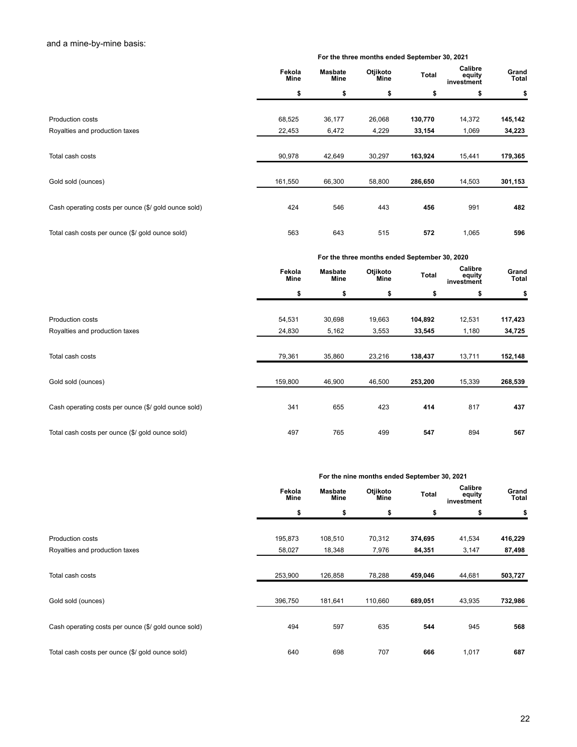# and a mine-by-mine basis:

# **For the three months ended September 30, 2021**

|                                                      | Fekola<br>Mine | <b>Masbate</b><br>Mine | Otjikoto<br>Mine | Total   | Calibre<br>equity<br>investment | Grand<br>Total |
|------------------------------------------------------|----------------|------------------------|------------------|---------|---------------------------------|----------------|
|                                                      | \$             | \$                     | \$               | \$      | \$                              | \$             |
|                                                      |                |                        |                  |         |                                 |                |
| Production costs                                     | 68,525         | 36,177                 | 26,068           | 130,770 | 14,372                          | 145,142        |
| Royalties and production taxes                       | 22,453         | 6,472                  | 4,229            | 33,154  | 1,069                           | 34,223         |
|                                                      |                |                        |                  |         |                                 |                |
| Total cash costs                                     | 90,978         | 42,649                 | 30,297           | 163,924 | 15,441                          | 179,365        |
|                                                      |                |                        |                  |         |                                 |                |
| Gold sold (ounces)                                   | 161,550        | 66,300                 | 58,800           | 286,650 | 14,503                          | 301,153        |
|                                                      |                |                        |                  |         |                                 |                |
| Cash operating costs per ounce (\$/ gold ounce sold) | 424            | 546                    | 443              | 456     | 991                             | 482            |
|                                                      |                |                        |                  |         |                                 |                |
| Total cash costs per ounce (\$/ gold ounce sold)     | 563            | 643                    | 515              | 572     | 1,065                           | 596            |

|                                                      | For the three months ended September 30, 2020 |                 |                  |         |                                 |                |  |
|------------------------------------------------------|-----------------------------------------------|-----------------|------------------|---------|---------------------------------|----------------|--|
|                                                      | Fekola<br>Mine                                | Masbate<br>Mine | Otjikoto<br>Mine | Total   | Calibre<br>equity<br>investment | Grand<br>Total |  |
|                                                      | \$                                            | \$              | \$               | \$      | \$                              | \$             |  |
| Production costs                                     | 54,531                                        | 30,698          | 19,663           | 104,892 | 12,531                          | 117,423        |  |
| Royalties and production taxes                       | 24,830                                        | 5,162           | 3,553            | 33,545  | 1,180                           | 34,725         |  |
| Total cash costs                                     | 79,361                                        | 35,860          | 23,216           | 138,437 | 13,711                          | 152,148        |  |
| Gold sold (ounces)                                   | 159,800                                       | 46,900          | 46,500           | 253,200 | 15,339                          | 268,539        |  |
| Cash operating costs per ounce (\$/ gold ounce sold) | 341                                           | 655             | 423              | 414     | 817                             | 437            |  |
| Total cash costs per ounce (\$/ gold ounce sold)     | 497                                           | 765             | 499              | 547     | 894                             | 567            |  |

|                                                      | For the nine months ended September 30, 2021 |                        |                  |              |                                 |                |
|------------------------------------------------------|----------------------------------------------|------------------------|------------------|--------------|---------------------------------|----------------|
|                                                      | Fekola<br>Mine                               | <b>Masbate</b><br>Mine | Otjikoto<br>Mine | <b>Total</b> | Calibre<br>equity<br>investment | Grand<br>Total |
|                                                      | \$                                           | \$                     | \$               | \$           |                                 | \$             |
| Production costs                                     | 195,873                                      | 108,510                | 70,312           | 374,695      | 41,534                          | 416,229        |
| Royalties and production taxes                       | 58,027                                       | 18,348                 | 7,976            | 84,351       | 3,147                           | 87,498         |
| Total cash costs                                     | 253,900                                      | 126,858                | 78,288           | 459,046      | 44,681                          | 503,727        |
| Gold sold (ounces)                                   | 396,750                                      | 181,641                | 110,660          | 689,051      | 43,935                          | 732,986        |
| Cash operating costs per ounce (\$/ gold ounce sold) | 494                                          | 597                    | 635              | 544          | 945                             | 568            |
| Total cash costs per ounce (\$/ gold ounce sold)     | 640                                          | 698                    | 707              | 666          | 1,017                           | 687            |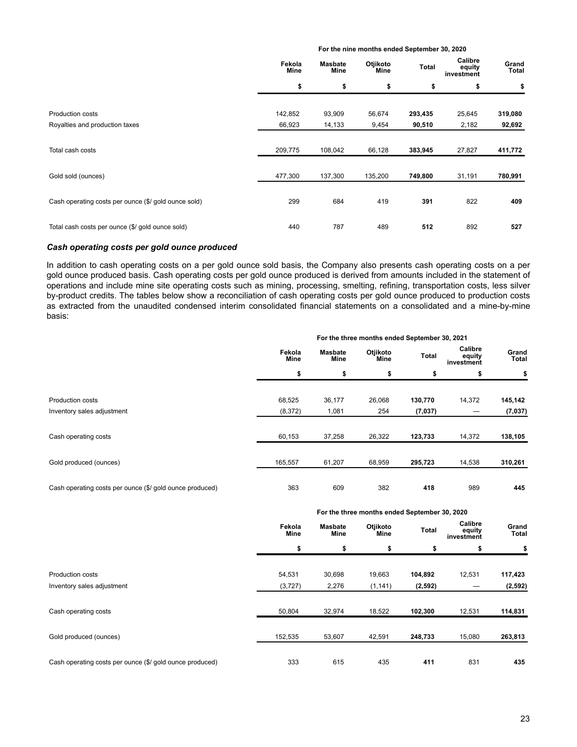|                                                      |                |                        | For the nine months ended September 30, 2020 |         |                                 |                       |
|------------------------------------------------------|----------------|------------------------|----------------------------------------------|---------|---------------------------------|-----------------------|
|                                                      | Fekola<br>Mine | <b>Masbate</b><br>Mine | Otjikoto<br>Mine                             | Total   | Calibre<br>equity<br>investment | Grand<br><b>Total</b> |
|                                                      | \$             | \$                     | \$                                           | \$      | \$                              | \$                    |
| Production costs                                     | 142,852        | 93,909                 | 56,674                                       | 293,435 | 25,645                          | 319,080               |
| Royalties and production taxes                       | 66,923         | 14,133                 | 9,454                                        | 90,510  | 2,182                           | 92,692                |
| Total cash costs                                     | 209,775        | 108,042                | 66,128                                       | 383,945 | 27,827                          | 411,772               |
| Gold sold (ounces)                                   | 477,300        | 137,300                | 135,200                                      | 749,800 | 31,191                          | 780,991               |
| Cash operating costs per ounce (\$/ gold ounce sold) | 299            | 684                    | 419                                          | 391     | 822                             | 409                   |
| Total cash costs per ounce (\$/ gold ounce sold)     | 440            | 787                    | 489                                          | 512     | 892                             | 527                   |

# *Cash operating costs per gold ounce produced*

In addition to cash operating costs on a per gold ounce sold basis, the Company also presents cash operating costs on a per gold ounce produced basis. Cash operating costs per gold ounce produced is derived from amounts included in the statement of operations and include mine site operating costs such as mining, processing, smelting, refining, transportation costs, less silver by-product credits. The tables below show a reconciliation of cash operating costs per gold ounce produced to production costs as extracted from the unaudited condensed interim consolidated financial statements on a consolidated and a mine-by-mine basis:

|                                                          |                       | For the three months ended September 30, 2021 |                                               |              |                                 |                |
|----------------------------------------------------------|-----------------------|-----------------------------------------------|-----------------------------------------------|--------------|---------------------------------|----------------|
|                                                          | Fekola<br><b>Mine</b> | <b>Masbate</b><br><b>Mine</b>                 | Otjikoto<br>Mine                              | <b>Total</b> | Calibre<br>equity<br>investment | Grand<br>Total |
|                                                          | \$                    | \$                                            | \$                                            | \$           | \$                              | \$             |
| Production costs                                         | 68,525                | 36,177                                        | 26,068                                        | 130,770      | 14,372                          | 145,142        |
| Inventory sales adjustment                               | (8,372)               | 1,081                                         | 254                                           | (7,037)      |                                 | (7, 037)       |
| Cash operating costs                                     | 60,153                | 37,258                                        | 26,322                                        | 123,733      | 14,372                          | 138,105        |
| Gold produced (ounces)                                   | 165,557               | 61,207                                        | 68,959                                        | 295,723      | 14,538                          | 310,261        |
| Cash operating costs per ounce (\$/ gold ounce produced) | 363                   | 609                                           | 382                                           | 418          | 989                             | 445            |
|                                                          |                       |                                               | For the three months ended September 30, 2020 |              |                                 |                |
|                                                          | Fekola                | <b>Masbate</b>                                | Otjikoto                                      | Tatal.       | Calibre<br>aanitu.              | Grand          |

|                                                          | <b>I</b> GNUID<br><b>Mine</b> | masualt<br>Mine | <b>OUINULU</b><br>Mine | Total   | equity<br>investment | vialiu<br><b>Total</b> |
|----------------------------------------------------------|-------------------------------|-----------------|------------------------|---------|----------------------|------------------------|
|                                                          | \$                            | \$              | \$                     | \$      |                      |                        |
| Production costs                                         | 54,531                        | 30,698          | 19,663                 | 104,892 | 12,531               | 117,423                |
| Inventory sales adjustment                               | (3,727)                       | 2,276           | (1, 141)               | (2,592) |                      | (2, 592)               |
| Cash operating costs                                     | 50,804                        | 32,974          | 18,522                 | 102,300 | 12,531               | 114,831                |
| Gold produced (ounces)                                   | 152,535                       | 53,607          | 42,591                 | 248,733 | 15,080               | 263,813                |
| Cash operating costs per ounce (\$/ gold ounce produced) | 333                           | 615             | 435                    | 411     | 831                  | 435                    |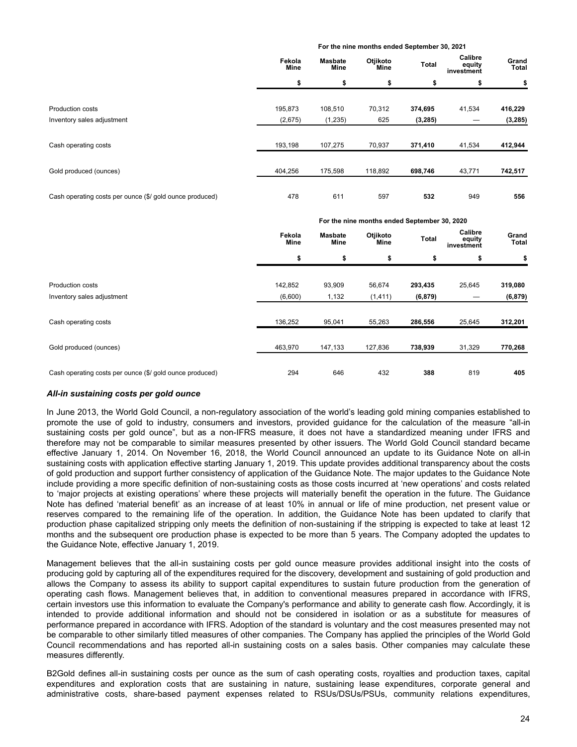**For the nine months ended September 30, 2021**

|                                                          | Fekola<br>Mine | <b>Masbate</b><br>Mine | Otjikoto<br>Mine | <b>Total</b> | Calibre<br>equity<br>investment | Grand<br><b>Total</b> |
|----------------------------------------------------------|----------------|------------------------|------------------|--------------|---------------------------------|-----------------------|
|                                                          | \$             | \$                     | \$               | \$           | \$                              | \$                    |
| Production costs                                         | 195,873        | 108,510                | 70,312           | 374,695      | 41,534                          | 416,229               |
| Inventory sales adjustment                               | (2,675)        | (1,235)                | 625              | (3, 285)     |                                 | (3, 285)              |
| Cash operating costs                                     | 193,198        | 107,275                | 70,937           | 371,410      | 41,534                          | 412,944               |
| Gold produced (ounces)                                   | 404,256        | 175,598                | 118,892          | 698,746      | 43,771                          | 742,517               |
| Cash operating costs per ounce (\$/ gold ounce produced) | 478            | 611                    | 597              | 532          | 949                             | 556                   |

|                                                          | For the nine months ended September 30, 2020 |                               |                  |              |                                 |                       |  |  |  |
|----------------------------------------------------------|----------------------------------------------|-------------------------------|------------------|--------------|---------------------------------|-----------------------|--|--|--|
|                                                          | Fekola<br><b>Mine</b>                        | <b>Masbate</b><br><b>Mine</b> | Otjikoto<br>Mine | <b>Total</b> | Calibre<br>equity<br>investment | Grand<br><b>Total</b> |  |  |  |
|                                                          | \$                                           | \$                            | \$               | \$           | \$                              | \$                    |  |  |  |
| Production costs                                         | 142,852                                      | 93,909                        | 56,674           | 293,435      | 25,645                          | 319,080               |  |  |  |
| Inventory sales adjustment                               | (6,600)                                      | 1,132                         | (1, 411)         | (6, 879)     |                                 | (6, 879)              |  |  |  |
| Cash operating costs                                     | 136,252                                      | 95,041                        | 55,263           | 286,556      | 25,645                          | 312,201               |  |  |  |
| Gold produced (ounces)                                   | 463,970                                      | 147,133                       | 127,836          | 738,939      | 31,329                          | 770,268               |  |  |  |
| Cash operating costs per ounce (\$/ gold ounce produced) | 294                                          | 646                           | 432              | 388          | 819                             | 405                   |  |  |  |

#### *All-in sustaining costs per gold ounce*

In June 2013, the World Gold Council, a non-regulatory association of the world's leading gold mining companies established to promote the use of gold to industry, consumers and investors, provided guidance for the calculation of the measure "all-in sustaining costs per gold ounce", but as a non-IFRS measure, it does not have a standardized meaning under IFRS and therefore may not be comparable to similar measures presented by other issuers. The World Gold Council standard became effective January 1, 2014. On November 16, 2018, the World Council announced an update to its Guidance Note on all-in sustaining costs with application effective starting January 1, 2019. This update provides additional transparency about the costs of gold production and support further consistency of application of the Guidance Note. The major updates to the Guidance Note include providing a more specific definition of non-sustaining costs as those costs incurred at 'new operations' and costs related to 'major projects at existing operations' where these projects will materially benefit the operation in the future. The Guidance Note has defined 'material benefit' as an increase of at least 10% in annual or life of mine production, net present value or reserves compared to the remaining life of the operation. In addition, the Guidance Note has been updated to clarify that production phase capitalized stripping only meets the definition of non-sustaining if the stripping is expected to take at least 12 months and the subsequent ore production phase is expected to be more than 5 years. The Company adopted the updates to the Guidance Note, effective January 1, 2019.

Management believes that the all-in sustaining costs per gold ounce measure provides additional insight into the costs of producing gold by capturing all of the expenditures required for the discovery, development and sustaining of gold production and allows the Company to assess its ability to support capital expenditures to sustain future production from the generation of operating cash flows. Management believes that, in addition to conventional measures prepared in accordance with IFRS, certain investors use this information to evaluate the Company's performance and ability to generate cash flow. Accordingly, it is intended to provide additional information and should not be considered in isolation or as a substitute for measures of performance prepared in accordance with IFRS. Adoption of the standard is voluntary and the cost measures presented may not be comparable to other similarly titled measures of other companies. The Company has applied the principles of the World Gold Council recommendations and has reported all-in sustaining costs on a sales basis. Other companies may calculate these measures differently.

B2Gold defines all-in sustaining costs per ounce as the sum of cash operating costs, royalties and production taxes, capital expenditures and exploration costs that are sustaining in nature, sustaining lease expenditures, corporate general and administrative costs, share-based payment expenses related to RSUs/DSUs/PSUs, community relations expenditures,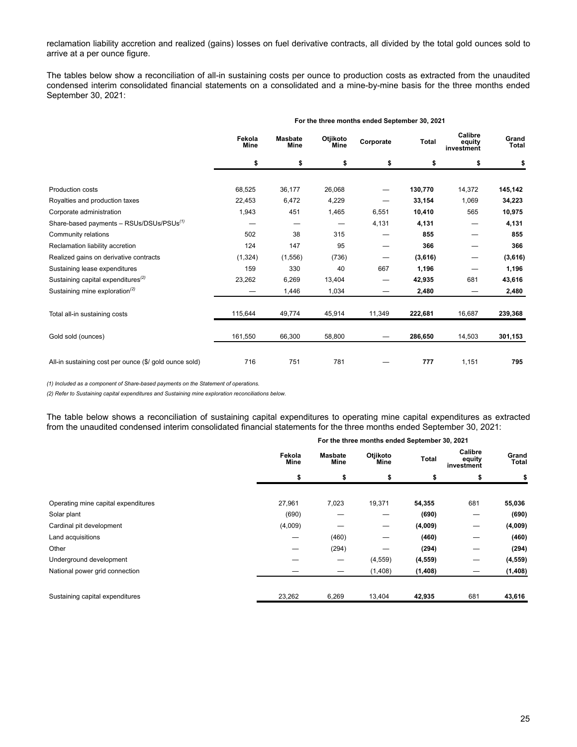reclamation liability accretion and realized (gains) losses on fuel derivative contracts, all divided by the total gold ounces sold to arrive at a per ounce figure.

The tables below show a reconciliation of all-in sustaining costs per ounce to production costs as extracted from the unaudited condensed interim consolidated financial statements on a consolidated and a mine-by-mine basis for the three months ended September 30, 2021:

|                                                        | For the three months ended September 30, 2021 |                               |                         |           |              |                                 |                       |  |
|--------------------------------------------------------|-----------------------------------------------|-------------------------------|-------------------------|-----------|--------------|---------------------------------|-----------------------|--|
|                                                        | Fekola<br><b>Mine</b>                         | <b>Masbate</b><br><b>Mine</b> | Otjikoto<br><b>Mine</b> | Corporate | <b>Total</b> | Calibre<br>equity<br>investment | Grand<br><b>Total</b> |  |
|                                                        | \$                                            | \$                            | \$                      | \$        | \$           | \$                              | \$                    |  |
| Production costs                                       | 68,525                                        | 36,177                        | 26,068                  |           | 130,770      | 14,372                          | 145,142               |  |
| Royalties and production taxes                         | 22,453                                        | 6,472                         | 4,229                   |           | 33,154       | 1,069                           | 34,223                |  |
| Corporate administration                               | 1,943                                         | 451                           | 1,465                   | 6,551     | 10,410       | 565                             | 10,975                |  |
| Share-based payments - RSUs/DSUs/PSUs <sup>(1)</sup>   |                                               |                               |                         | 4,131     | 4,131        |                                 | 4,131                 |  |
| Community relations                                    | 502                                           | 38                            | 315                     |           | 855          |                                 | 855                   |  |
| Reclamation liability accretion                        | 124                                           | 147                           | 95                      |           | 366          |                                 | 366                   |  |
| Realized gains on derivative contracts                 | (1, 324)                                      | (1,556)                       | (736)                   |           | (3,616)      |                                 | (3,616)               |  |
| Sustaining lease expenditures                          | 159                                           | 330                           | 40                      | 667       | 1,196        |                                 | 1,196                 |  |
| Sustaining capital expenditures <sup>(2)</sup>         | 23,262                                        | 6,269                         | 13,404                  |           | 42,935       | 681                             | 43,616                |  |
| Sustaining mine exploration <sup>(2)</sup>             |                                               | 1,446                         | 1,034                   |           | 2,480        |                                 | 2,480                 |  |
| Total all-in sustaining costs                          | 115,644                                       | 49,774                        | 45,914                  | 11,349    | 222,681      | 16,687                          | 239,368               |  |
| Gold sold (ounces)                                     | 161,550                                       | 66,300                        | 58,800                  |           | 286,650      | 14,503                          | 301,153               |  |
| All-in sustaining cost per ounce (\$/ gold ounce sold) | 716                                           | 751                           | 781                     |           | 777          | 1,151                           | 795                   |  |

*(1) Included as a component of Share-based payments on the Statement of operations.* 

*(2) Refer to Sustaining capital expenditures and Sustaining mine exploration reconciliations below.*

The table below shows a reconciliation of sustaining capital expenditures to operating mine capital expenditures as extracted from the unaudited condensed interim consolidated financial statements for the three months ended September 30, 2021:

| <u> ---------- --, --- -</u> |              |                                 |                |  |  |  |  |
|------------------------------|--------------|---------------------------------|----------------|--|--|--|--|
| Otjikoto<br>Mine             | <b>Total</b> | Calibre<br>equity<br>investment | Grand<br>Total |  |  |  |  |
| \$                           | \$           | S                               | \$             |  |  |  |  |
| 19,371                       | 54,355       | 681                             | 55,036         |  |  |  |  |
|                              | (690)        |                                 | (690)          |  |  |  |  |
| –                            | (4,009)      | –                               | (4,009)        |  |  |  |  |
|                              | (460)        |                                 | (460)          |  |  |  |  |
|                              | (294)        |                                 | (294)          |  |  |  |  |
| (4, 559)                     | (4, 559)     |                                 | (4, 559)       |  |  |  |  |
| (1,408)                      | (1, 408)     |                                 | (1, 408)       |  |  |  |  |
| 13,404                       | 42,935       | 681                             | 43,616         |  |  |  |  |
|                              |              |                                 |                |  |  |  |  |

#### **For the three months ended September 30, 2021**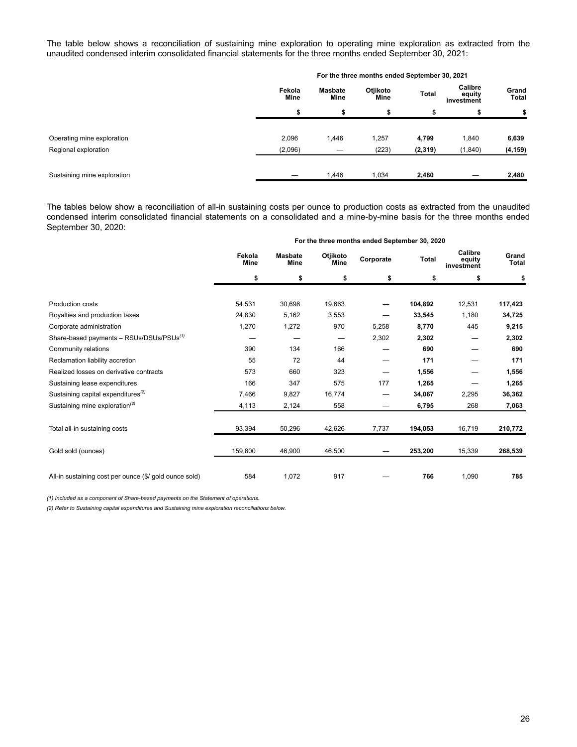The table below shows a reconciliation of sustaining mine exploration to operating mine exploration as extracted from the unaudited condensed interim consolidated financial statements for the three months ended September 30, 2021:

|                             | For the three months ended September 30, 2021 |                 |                  |          |                                 |                       |  |
|-----------------------------|-----------------------------------------------|-----------------|------------------|----------|---------------------------------|-----------------------|--|
|                             | Fekola<br><b>Mine</b>                         | Masbate<br>Mine | Otjikoto<br>Mine | Total    | Calibre<br>equity<br>investment | Grand<br><b>Total</b> |  |
|                             | \$                                            | \$              | \$               | \$       | \$                              | \$                    |  |
| Operating mine exploration  | 2,096                                         | 1,446           | 1,257            | 4,799    | 1,840                           | 6,639                 |  |
| Regional exploration        | (2,096)                                       |                 | (223)            | (2, 319) | (1,840)                         | (4, 159)              |  |
| Sustaining mine exploration |                                               | 1,446           | 1,034            | 2,480    |                                 | 2,480                 |  |

The tables below show a reconciliation of all-in sustaining costs per ounce to production costs as extracted from the unaudited condensed interim consolidated financial statements on a consolidated and a mine-by-mine basis for the three months ended September 30, 2020:

|                                                        | For the three months ended September 30, 2020 |                        |                         |           |              |                                 |                       |  |  |
|--------------------------------------------------------|-----------------------------------------------|------------------------|-------------------------|-----------|--------------|---------------------------------|-----------------------|--|--|
|                                                        | Fekola<br><b>Mine</b>                         | <b>Masbate</b><br>Mine | Otjikoto<br><b>Mine</b> | Corporate | <b>Total</b> | Calibre<br>equity<br>investment | Grand<br><b>Total</b> |  |  |
|                                                        | \$                                            | \$                     | \$                      | \$        | \$           | \$                              | \$                    |  |  |
|                                                        |                                               |                        |                         |           |              |                                 |                       |  |  |
| Production costs                                       | 54,531                                        | 30,698                 | 19,663                  |           | 104,892      | 12,531                          | 117,423               |  |  |
| Royalties and production taxes                         | 24,830                                        | 5,162                  | 3,553                   |           | 33,545       | 1,180                           | 34,725                |  |  |
| Corporate administration                               | 1,270                                         | 1,272                  | 970                     | 5,258     | 8,770        | 445                             | 9,215                 |  |  |
| Share-based payments - RSUs/DSUs/PSUs <sup>(1)</sup>   |                                               |                        | —                       | 2,302     | 2,302        |                                 | 2,302                 |  |  |
| Community relations                                    | 390                                           | 134                    | 166                     |           | 690          |                                 | 690                   |  |  |
| Reclamation liability accretion                        | 55                                            | 72                     | 44                      |           | 171          |                                 | 171                   |  |  |
| Realized losses on derivative contracts                | 573                                           | 660                    | 323                     |           | 1,556        |                                 | 1,556                 |  |  |
| Sustaining lease expenditures                          | 166                                           | 347                    | 575                     | 177       | 1,265        |                                 | 1,265                 |  |  |
| Sustaining capital expenditures $^{(2)}$               | 7,466                                         | 9,827                  | 16,774                  | —         | 34,067       | 2,295                           | 36,362                |  |  |
| Sustaining mine exploration <sup>(2)</sup>             | 4,113                                         | 2,124                  | 558                     |           | 6,795        | 268                             | 7,063                 |  |  |
| Total all-in sustaining costs                          | 93,394                                        | 50,296                 | 42,626                  | 7,737     | 194,053      | 16,719                          | 210,772               |  |  |
| Gold sold (ounces)                                     | 159,800                                       | 46,900                 | 46,500                  |           | 253,200      | 15,339                          | 268,539               |  |  |
| All-in sustaining cost per ounce (\$/ gold ounce sold) | 584                                           | 1,072                  | 917                     |           | 766          | 1,090                           | 785                   |  |  |

*(1) Included as a component of Share-based payments on the Statement of operations.* 

*(2) Refer to Sustaining capital expenditures and Sustaining mine exploration reconciliations below.*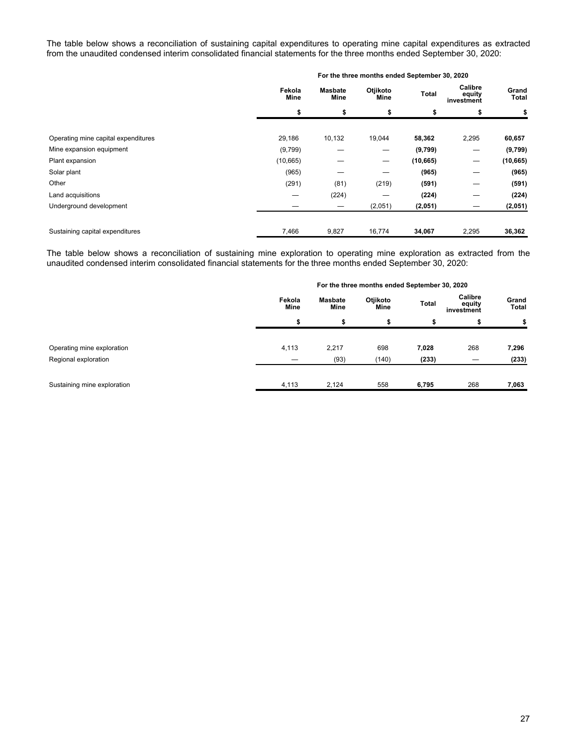The table below shows a reconciliation of sustaining capital expenditures to operating mine capital expenditures as extracted from the unaudited condensed interim consolidated financial statements for the three months ended September 30, 2020:

|                                     | For the three months ended September 30, 2020 |                 |                  |           |                                 |                       |  |  |
|-------------------------------------|-----------------------------------------------|-----------------|------------------|-----------|---------------------------------|-----------------------|--|--|
|                                     | Fekola<br><b>Mine</b>                         | Masbate<br>Mine | Otjikoto<br>Mine | Total     | Calibre<br>equity<br>investment | Grand<br><b>Total</b> |  |  |
|                                     | \$                                            | \$              | \$               | \$        | \$                              | \$                    |  |  |
|                                     |                                               |                 |                  |           |                                 |                       |  |  |
| Operating mine capital expenditures | 29,186                                        | 10,132          | 19,044           | 58,362    | 2,295                           | 60,657                |  |  |
| Mine expansion equipment            | (9,799)                                       |                 |                  | (9,799)   | —                               | (9,799)               |  |  |
| Plant expansion                     | (10, 665)                                     |                 |                  | (10, 665) |                                 | (10, 665)             |  |  |
| Solar plant                         | (965)                                         |                 |                  | (965)     |                                 | (965)                 |  |  |
| Other                               | (291)                                         | (81)            | (219)            | (591)     |                                 | (591)                 |  |  |
| Land acquisitions                   | –                                             | (224)           |                  | (224)     |                                 | (224)                 |  |  |
| Underground development             |                                               |                 | (2,051)          | (2,051)   |                                 | (2,051)               |  |  |
| Sustaining capital expenditures     | 7,466                                         | 9,827           | 16,774           | 34,067    | 2,295                           | 36,362                |  |  |

The table below shows a reconciliation of sustaining mine exploration to operating mine exploration as extracted from the unaudited condensed interim consolidated financial statements for the three months ended September 30, 2020:

|                             | For the three months ended September 30, 2020 |                 |                  |              |                                 |                       |
|-----------------------------|-----------------------------------------------|-----------------|------------------|--------------|---------------------------------|-----------------------|
|                             | Fekola<br><b>Mine</b>                         | Masbate<br>Mine | Otjikoto<br>Mine | <b>Total</b> | Calibre<br>equity<br>investment | Grand<br><b>Total</b> |
|                             |                                               |                 |                  |              |                                 | \$                    |
|                             |                                               |                 |                  |              |                                 |                       |
| Operating mine exploration  | 4,113                                         | 2,217           | 698              | 7,028        | 268                             | 7,296                 |
| Regional exploration        |                                               | (93)            | (140)            | (233)        | –                               | (233)                 |
|                             |                                               |                 |                  |              |                                 |                       |
| Sustaining mine exploration | 4,113                                         | 2,124           | 558              | 6,795        | 268                             | 7,063                 |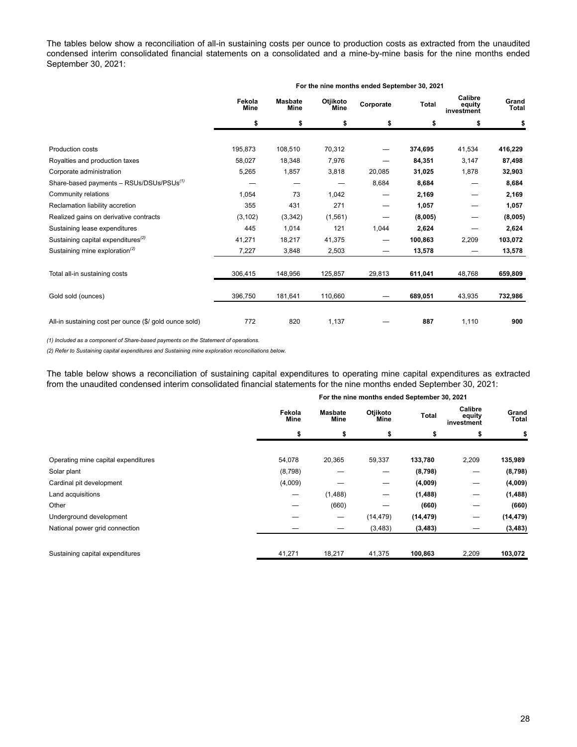The tables below show a reconciliation of all-in sustaining costs per ounce to production costs as extracted from the unaudited condensed interim consolidated financial statements on a consolidated and a mine-by-mine basis for the nine months ended September 30, 2021:

|                                                         | Fekola<br>Mine | <b>Masbate</b><br><b>Mine</b> | Otjikoto<br>Mine | Corporate | Total   | Calibre<br>equity<br>investment | Grand<br>Total |  |
|---------------------------------------------------------|----------------|-------------------------------|------------------|-----------|---------|---------------------------------|----------------|--|
|                                                         | \$             | \$                            | \$               | \$        | \$      | \$                              | \$             |  |
| Production costs                                        | 195,873        | 108,510                       | 70,312           |           | 374,695 | 41,534                          | 416,229        |  |
| Royalties and production taxes                          | 58,027         | 18,348                        | 7,976            |           | 84,351  | 3,147                           | 87,498         |  |
| Corporate administration                                | 5,265          | 1,857                         | 3,818            | 20,085    | 31,025  | 1,878                           | 32,903         |  |
| Share-based payments - RSUs/DSUs/PSUs <sup>(1)</sup>    |                |                               |                  | 8,684     | 8,684   |                                 | 8,684          |  |
| Community relations                                     | 1,054          | 73                            | 1,042            |           | 2,169   |                                 | 2,169          |  |
| Reclamation liability accretion                         | 355            | 431                           | 271              |           | 1,057   |                                 | 1,057          |  |
| Realized gains on derivative contracts                  | (3, 102)       | (3,342)                       | (1, 561)         |           | (8,005) |                                 | (8,005)        |  |
| Sustaining lease expenditures                           | 445            | 1,014                         | 121              | 1,044     | 2,624   |                                 | 2,624          |  |
| Sustaining capital expenditures $(2)$                   | 41,271         | 18,217                        | 41,375           |           | 100,863 | 2,209                           | 103,072        |  |
| Sustaining mine exploration <sup><math>(2)</math></sup> | 7,227          | 3,848                         | 2,503            |           | 13,578  |                                 | 13,578         |  |
| Total all-in sustaining costs                           | 306,415        | 148,956                       | 125,857          | 29,813    | 611,041 | 48,768                          | 659,809        |  |
| Gold sold (ounces)                                      | 396,750        | 181,641                       | 110,660          |           | 689,051 | 43,935                          | 732,986        |  |
| All-in sustaining cost per ounce (\$/ gold ounce sold)  | 772            | 820                           | 1,137            |           | 887     | 1,110                           | 900            |  |

*(1) Included as a component of Share-based payments on the Statement of operations.* 

*(2) Refer to Sustaining capital expenditures and Sustaining mine exploration reconciliations below.*

The table below shows a reconciliation of sustaining capital expenditures to operating mine capital expenditures as extracted from the unaudited condensed interim consolidated financial statements for the nine months ended September 30, 2021:

|                                     | For the nine months ended September 30, 2021 |                 |                  |           |                                 |                |  |  |
|-------------------------------------|----------------------------------------------|-----------------|------------------|-----------|---------------------------------|----------------|--|--|
|                                     | Fekola<br>Mine                               | Masbate<br>Mine | Otjikoto<br>Mine | Total     | Calibre<br>equity<br>investment | Grand<br>Total |  |  |
|                                     | \$                                           | \$              | \$               | \$        | \$                              | \$             |  |  |
|                                     |                                              |                 |                  |           |                                 |                |  |  |
| Operating mine capital expenditures | 54,078                                       | 20,365          | 59,337           | 133,780   | 2,209                           | 135,989        |  |  |
| Solar plant                         | (8,798)                                      |                 | –                | (8,798)   | –                               | (8,798)        |  |  |
| Cardinal pit development            | (4,009)                                      |                 | –                | (4,009)   | –                               | (4,009)        |  |  |
| Land acquisitions                   | —                                            | (1,488)         | –                | (1, 488)  | –                               | (1, 488)       |  |  |
| Other                               | –                                            | (660)           |                  | (660)     |                                 | (660)          |  |  |
| Underground development             |                                              | —               | (14, 479)        | (14, 479) | –                               | (14, 479)      |  |  |
| National power grid connection      |                                              |                 | (3, 483)         | (3, 483)  |                                 | (3, 483)       |  |  |
| Sustaining capital expenditures     | 41,271                                       | 18,217          | 41,375           | 100,863   | 2,209                           | 103,072        |  |  |

# **For the nine months ended September 30, 2021**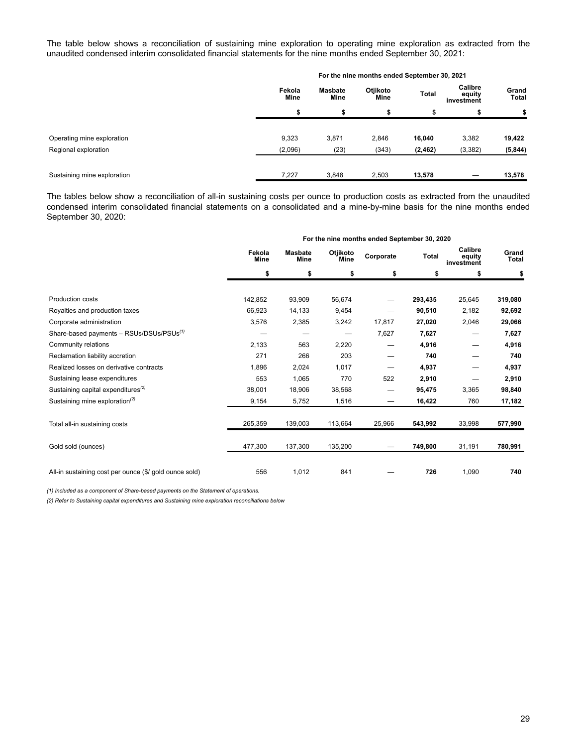The table below shows a reconciliation of sustaining mine exploration to operating mine exploration as extracted from the unaudited condensed interim consolidated financial statements for the nine months ended September 30, 2021:

|                             |                | For the nine months ended September 30, 2021 |                  |              |                                 |                       |  |  |
|-----------------------------|----------------|----------------------------------------------|------------------|--------------|---------------------------------|-----------------------|--|--|
|                             | Fekola<br>Mine | Masbate<br>Mine                              | Otjikoto<br>Mine | <b>Total</b> | Calibre<br>equity<br>investment | Grand<br><b>Total</b> |  |  |
|                             | \$             | \$                                           | ¢<br>ъ           | \$           | \$                              | \$                    |  |  |
| Operating mine exploration  | 9,323          | 3,871                                        | 2,846            | 16,040       | 3,382                           | 19,422                |  |  |
| Regional exploration        | (2,096)        | (23)                                         | (343)            | (2, 462)     | (3, 382)                        | (5, 844)              |  |  |
| Sustaining mine exploration | 7.227          | 3,848                                        | 2,503            | 13,578       |                                 | 13,578                |  |  |

The tables below show a reconciliation of all-in sustaining costs per ounce to production costs as extracted from the unaudited condensed interim consolidated financial statements on a consolidated and a mine-by-mine basis for the nine months ended September 30, 2020:

|                                                        | For the nine months ended September 30, 2020 |                        |                  |                                |         |                                 |                       |
|--------------------------------------------------------|----------------------------------------------|------------------------|------------------|--------------------------------|---------|---------------------------------|-----------------------|
|                                                        | Fekola<br>Mine                               | <b>Masbate</b><br>Mine | Otjikoto<br>Mine | Corporate                      | Total   | Calibre<br>equity<br>investment | Grand<br><b>Total</b> |
|                                                        | \$                                           | \$                     | \$               | \$                             | \$      | \$                              | \$                    |
| <b>Production costs</b>                                | 142,852                                      | 93,909                 | 56,674           |                                | 293,435 | 25,645                          | 319,080               |
| Royalties and production taxes                         | 66,923                                       | 14,133                 | 9,454            |                                | 90,510  | 2,182                           | 92,692                |
|                                                        |                                              |                        |                  |                                |         |                                 |                       |
| Corporate administration                               | 3,576                                        | 2,385                  | 3,242            | 17,817                         | 27,020  | 2,046                           | 29,066                |
| Share-based payments - RSUs/DSUs/PSUs <sup>(1)</sup>   |                                              |                        |                  | 7,627                          | 7,627   |                                 | 7,627                 |
| Community relations                                    | 2,133                                        | 563                    | 2,220            |                                | 4,916   | —                               | 4,916                 |
| Reclamation liability accretion                        | 271                                          | 266                    | 203              |                                | 740     |                                 | 740                   |
| Realized losses on derivative contracts                | 1,896                                        | 2,024                  | 1,017            |                                | 4,937   |                                 | 4,937                 |
| Sustaining lease expenditures                          | 553                                          | 1,065                  | 770              | 522                            | 2,910   |                                 | 2,910                 |
| Sustaining capital expenditures $^{(2)}$               | 38,001                                       | 18,906                 | 38,568           | $\qquad \qquad \longleftarrow$ | 95,475  | 3,365                           | 98,840                |
| Sustaining mine exploration <sup>(2)</sup>             | 9,154                                        | 5,752                  | 1,516            | $\qquad \qquad \longleftarrow$ | 16,422  | 760                             | 17,182                |
| Total all-in sustaining costs                          | 265,359                                      | 139,003                | 113,664          | 25,966                         | 543,992 | 33,998                          | 577,990               |
| Gold sold (ounces)                                     | 477,300                                      | 137,300                | 135,200          |                                | 749,800 | 31,191                          | 780,991               |
| All-in sustaining cost per ounce (\$/ gold ounce sold) | 556                                          | 1,012                  | 841              |                                | 726     | 1,090                           | 740                   |

*(1) Included as a component of Share-based payments on the Statement of operations.* 

*(2) Refer to Sustaining capital expenditures and Sustaining mine exploration reconciliations below*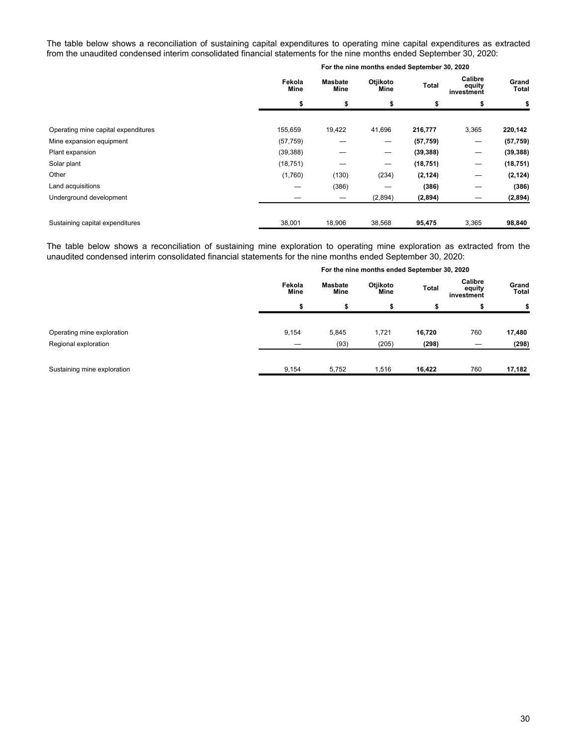The table below shows a reconciliation of sustaining capital expenditures to operating mine capital expenditures as extracted from the unaudited condensed interim consolidated financial statements for the nine months ended September 30, 2020:

|                                     | Fekola<br><b>Mine</b> | <b>Masbate</b><br>Mine | Otjikoto<br>Mine | <b>Total</b> | Calibre<br>equity<br>investment | Grand<br><b>Total</b> |
|-------------------------------------|-----------------------|------------------------|------------------|--------------|---------------------------------|-----------------------|
|                                     | \$                    | \$                     | \$               | \$           | \$                              | \$                    |
| Operating mine capital expenditures | 155,659               | 19,422                 | 41,696           | 216,777      | 3,365                           | 220,142               |
| Mine expansion equipment            | (57, 759)             |                        |                  | (57, 759)    |                                 | (57, 759)             |
| Plant expansion                     | (39, 388)             |                        |                  | (39, 388)    |                                 | (39, 388)             |
| Solar plant                         | (18, 751)             |                        | –                | (18, 751)    |                                 | (18, 751)             |
| Other                               | (1,760)               | (130)                  | (234)            | (2, 124)     |                                 | (2, 124)              |
| Land acquisitions                   |                       | (386)                  | –                | (386)        |                                 | (386)                 |
| Underground development             |                       |                        | (2,894)          | (2,894)      |                                 | (2,894)               |
| Sustaining capital expenditures     | 38,001                | 18,906                 | 38,568           | 95,475       | 3,365                           | 98,840                |

**For the nine months ended September 30, 2020**

The table below shows a reconciliation of sustaining mine exploration to operating mine exploration as extracted from the unaudited condensed interim consolidated financial statements for the nine months ended September 30, 2020:

|                             |                       | For the nine months ended September 30, 2020 |                  |        |                                 |                |  |
|-----------------------------|-----------------------|----------------------------------------------|------------------|--------|---------------------------------|----------------|--|
|                             | Fekola<br><b>Mine</b> | Masbate<br>Mine                              | Otjikoto<br>Mine | Total  | Calibre<br>equity<br>investment | Grand<br>Total |  |
|                             | ъ                     | ъ                                            | ъ                | ж      | ж                               | \$             |  |
| Operating mine exploration  | 9,154                 | 5,845                                        | 1,721            | 16,720 | 760                             | 17,480         |  |
| Regional exploration        |                       | (93)                                         | (205)            | (298)  |                                 | (298)          |  |
|                             |                       |                                              |                  |        |                                 |                |  |
| Sustaining mine exploration | 9,154                 | 5,752                                        | 1,516            | 16,422 | 760                             | 17,182         |  |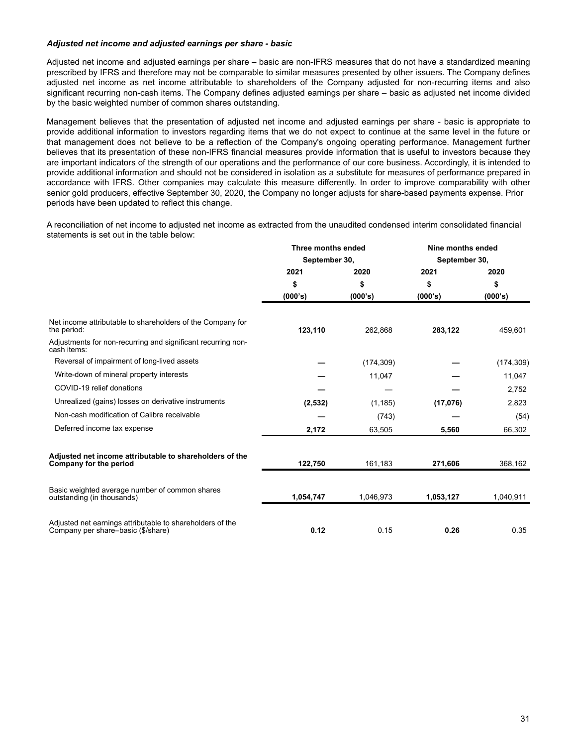## *Adjusted net income and adjusted earnings per share - basic*

Adjusted net income and adjusted earnings per share – basic are non-IFRS measures that do not have a standardized meaning prescribed by IFRS and therefore may not be comparable to similar measures presented by other issuers. The Company defines adjusted net income as net income attributable to shareholders of the Company adjusted for non-recurring items and also significant recurring non-cash items. The Company defines adjusted earnings per share – basic as adjusted net income divided by the basic weighted number of common shares outstanding.

Management believes that the presentation of adjusted net income and adjusted earnings per share - basic is appropriate to provide additional information to investors regarding items that we do not expect to continue at the same level in the future or that management does not believe to be a reflection of the Company's ongoing operating performance. Management further believes that its presentation of these non-IFRS financial measures provide information that is useful to investors because they are important indicators of the strength of our operations and the performance of our core business. Accordingly, it is intended to provide additional information and should not be considered in isolation as a substitute for measures of performance prepared in accordance with IFRS. Other companies may calculate this measure differently. In order to improve comparability with other senior gold producers, effective September 30, 2020, the Company no longer adjusts for share-based payments expense. Prior periods have been updated to reflect this change.

A reconciliation of net income to adjusted net income as extracted from the unaudited condensed interim consolidated financial statements is set out in the table below:

|                                                                                                 | Three months ended |            | Nine months ended |            |  |
|-------------------------------------------------------------------------------------------------|--------------------|------------|-------------------|------------|--|
|                                                                                                 | September 30,      |            | September 30,     |            |  |
|                                                                                                 | 2021               | 2020       | 2021              | 2020       |  |
|                                                                                                 | \$                 | \$         | \$                | \$         |  |
|                                                                                                 | (000's)            | (000's)    | (000's)           | (000's)    |  |
| Net income attributable to shareholders of the Company for<br>the period:                       | 123,110            | 262,868    | 283,122           | 459,601    |  |
| Adjustments for non-recurring and significant recurring non-<br>cash items:                     |                    |            |                   |            |  |
| Reversal of impairment of long-lived assets                                                     |                    | (174, 309) |                   | (174, 309) |  |
| Write-down of mineral property interests                                                        |                    | 11,047     |                   | 11,047     |  |
| COVID-19 relief donations                                                                       |                    |            |                   | 2,752      |  |
| Unrealized (gains) losses on derivative instruments                                             | (2, 532)           | (1, 185)   | (17,076)          | 2,823      |  |
| Non-cash modification of Calibre receivable                                                     |                    | (743)      |                   | (54)       |  |
| Deferred income tax expense                                                                     | 2,172              | 63,505     | 5,560             | 66,302     |  |
| Adjusted net income attributable to shareholders of the<br>Company for the period               | 122,750            | 161,183    | 271,606           | 368,162    |  |
| Basic weighted average number of common shares<br>outstanding (in thousands)                    | 1,054,747          | 1,046,973  | 1,053,127         | 1,040,911  |  |
| Adjusted net earnings attributable to shareholders of the<br>Company per share-basic (\$/share) | 0.12               | 0.15       | 0.26              | 0.35       |  |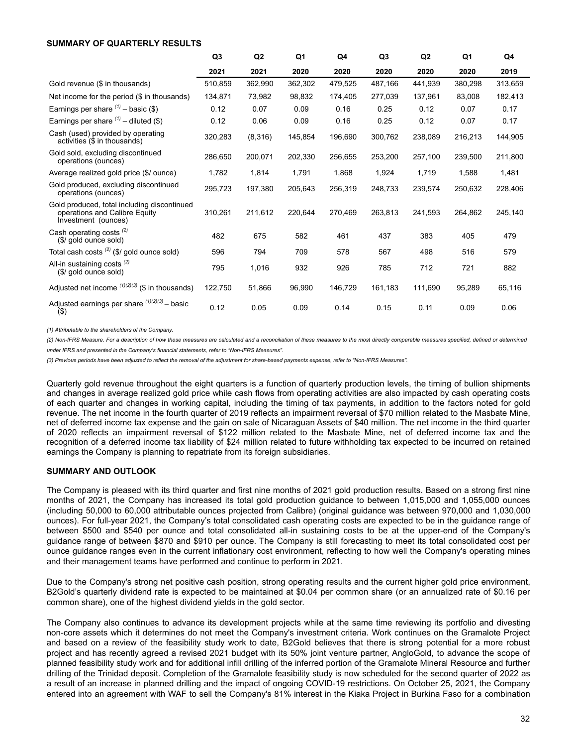#### <span id="page-31-0"></span>**SUMMARY OF QUARTERLY RESULTS**

|                                                                                                     | Q <sub>3</sub> | Q2      | Q1      | Q <sub>4</sub> | Q <sub>3</sub> | Q2      | Q <sub>1</sub> | Q4      |
|-----------------------------------------------------------------------------------------------------|----------------|---------|---------|----------------|----------------|---------|----------------|---------|
|                                                                                                     | 2021           | 2021    | 2020    | 2020           | 2020           | 2020    | 2020           | 2019    |
| Gold revenue (\$ in thousands)                                                                      | 510,859        | 362,990 | 362,302 | 479.525        | 487,166        | 441,939 | 380,298        | 313,659 |
| Net income for the period (\$ in thousands)                                                         | 134,871        | 73,982  | 98,832  | 174,405        | 277,039        | 137,961 | 83,008         | 182,413 |
| Earnings per share $(1)$ – basic (\$)                                                               | 0.12           | 0.07    | 0.09    | 0.16           | 0.25           | 0.12    | 0.07           | 0.17    |
| Earnings per share $(1)$ – diluted (\$)                                                             | 0.12           | 0.06    | 0.09    | 0.16           | 0.25           | 0.12    | 0.07           | 0.17    |
| Cash (used) provided by operating<br>activities (\$ in thousands)                                   | 320,283        | (8,316) | 145,854 | 196,690        | 300,762        | 238,089 | 216,213        | 144,905 |
| Gold sold, excluding discontinued<br>operations (ounces)                                            | 286.650        | 200,071 | 202.330 | 256.655        | 253,200        | 257,100 | 239.500        | 211,800 |
| Average realized gold price (\$/ ounce)                                                             | 1,782          | 1,814   | 1,791   | 1,868          | 1,924          | 1,719   | 1,588          | 1,481   |
| Gold produced, excluding discontinued<br>operations (ounces)                                        | 295,723        | 197,380 | 205,643 | 256,319        | 248,733        | 239,574 | 250,632        | 228,406 |
| Gold produced, total including discontinued<br>operations and Calibre Equity<br>Investment (ounces) | 310,261        | 211,612 | 220.644 | 270.469        | 263,813        | 241.593 | 264.862        | 245,140 |
| Cash operating costs <sup>(2)</sup><br>(\$/ gold ounce sold)                                        | 482            | 675     | 582     | 461            | 437            | 383     | 405            | 479     |
| Total cash costs <sup>(2)</sup> (\$/ gold ounce sold)                                               | 596            | 794     | 709     | 578            | 567            | 498     | 516            | 579     |
| All-in sustaining costs <sup>(2)</sup><br>(\$/ gold ounce sold)                                     | 795            | 1,016   | 932     | 926            | 785            | 712     | 721            | 882     |
| Adjusted net income $(1)(2)(3)$ (\$ in thousands)                                                   | 122,750        | 51,866  | 96,990  | 146,729        | 161,183        | 111,690 | 95,289         | 65,116  |
| Adjusted earnings per share (1)(2)(3) - basic<br>$($ \$)                                            | 0.12           | 0.05    | 0.09    | 0.14           | 0.15           | 0.11    | 0.09           | 0.06    |

*(1) Attributable to the shareholders of the Company.*

<sup>(2)</sup> Non-IFRS Measure. For a description of how these measures are calculated and a reconciliation of these measures to the most directly comparable measures specified, defined or determined *under IFRS and presented in the Company's financial statements, refer to "Non-IFRS Measures".*

*(3) Previous periods have been adjusted to reflect the removal of the adjustment for share-based payments expense, refer to "Non-IFRS Measures".*

Quarterly gold revenue throughout the eight quarters is a function of quarterly production levels, the timing of bullion shipments and changes in average realized gold price while cash flows from operating activities are also impacted by cash operating costs of each quarter and changes in working capital, including the timing of tax payments, in addition to the factors noted for gold revenue. The net income in the fourth quarter of 2019 reflects an impairment reversal of \$70 million related to the Masbate Mine, net of deferred income tax expense and the gain on sale of Nicaraguan Assets of \$40 million. The net income in the third quarter of 2020 reflects an impairment reversal of \$122 million related to the Masbate Mine, net of deferred income tax and the recognition of a deferred income tax liability of \$24 million related to future withholding tax expected to be incurred on retained earnings the Company is planning to repatriate from its foreign subsidiaries.

#### **SUMMARY AND OUTLOOK**

The Company is pleased with its third quarter and first nine months of 2021 gold production results. Based on a strong first nine months of 2021, the Company has increased its total gold production guidance to between 1,015,000 and 1,055,000 ounces (including 50,000 to 60,000 attributable ounces projected from Calibre) (original guidance was between 970,000 and 1,030,000 ounces). For full-year 2021, the Company's total consolidated cash operating costs are expected to be in the guidance range of between \$500 and \$540 per ounce and total consolidated all-in sustaining costs to be at the upper-end of the Company's guidance range of between \$870 and \$910 per ounce. The Company is still forecasting to meet its total consolidated cost per ounce guidance ranges even in the current inflationary cost environment, reflecting to how well the Company's operating mines and their management teams have performed and continue to perform in 2021.

Due to the Company's strong net positive cash position, strong operating results and the current higher gold price environment, B2Gold's quarterly dividend rate is expected to be maintained at \$0.04 per common share (or an annualized rate of \$0.16 per common share), one of the highest dividend yields in the gold sector.

The Company also continues to advance its development projects while at the same time reviewing its portfolio and divesting non-core assets which it determines do not meet the Company's investment criteria. Work continues on the Gramalote Project and based on a review of the feasibility study work to date, B2Gold believes that there is strong potential for a more robust project and has recently agreed a revised 2021 budget with its 50% joint venture partner, AngloGold, to advance the scope of planned feasibility study work and for additional infill drilling of the inferred portion of the Gramalote Mineral Resource and further drilling of the Trinidad deposit. Completion of the Gramalote feasibility study is now scheduled for the second quarter of 2022 as a result of an increase in planned drilling and the impact of ongoing COVID-19 restrictions. On October 25, 2021, the Company entered into an agreement with WAF to sell the Company's 81% interest in the Kiaka Project in Burkina Faso for a combination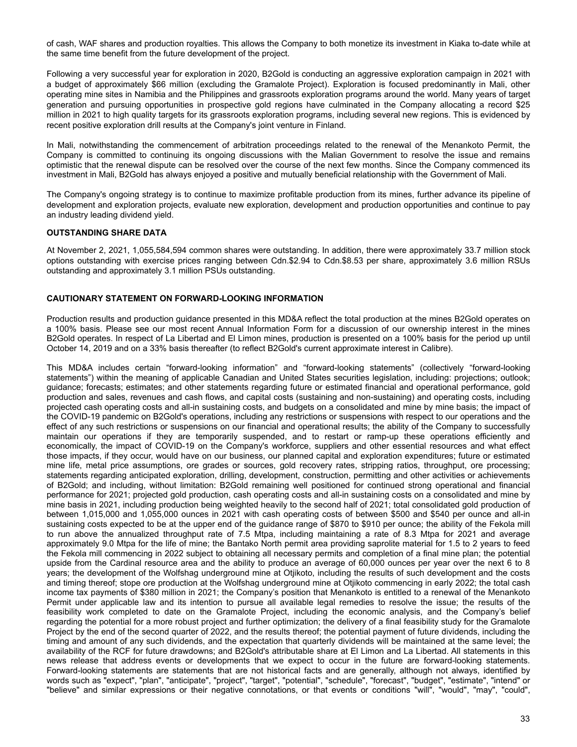<span id="page-32-0"></span>of cash, WAF shares and production royalties. This allows the Company to both monetize its investment in Kiaka to-date while at the same time benefit from the future development of the project.

Following a very successful year for exploration in 2020, B2Gold is conducting an aggressive exploration campaign in 2021 with a budget of approximately \$66 million (excluding the Gramalote Project). Exploration is focused predominantly in Mali, other operating mine sites in Namibia and the Philippines and grassroots exploration programs around the world. Many years of target generation and pursuing opportunities in prospective gold regions have culminated in the Company allocating a record \$25 million in 2021 to high quality targets for its grassroots exploration programs, including several new regions. This is evidenced by recent positive exploration drill results at the Company's joint venture in Finland.

In Mali, notwithstanding the commencement of arbitration proceedings related to the renewal of the Menankoto Permit, the Company is committed to continuing its ongoing discussions with the Malian Government to resolve the issue and remains optimistic that the renewal dispute can be resolved over the course of the next few months. Since the Company commenced its investment in Mali, B2Gold has always enjoyed a positive and mutually beneficial relationship with the Government of Mali.

The Company's ongoing strategy is to continue to maximize profitable production from its mines, further advance its pipeline of development and exploration projects, evaluate new exploration, development and production opportunities and continue to pay an industry leading dividend yield.

## **OUTSTANDING SHARE DATA**

At November 2, 2021, 1,055,584,594 common shares were outstanding. In addition, there were approximately 33.7 million stock options outstanding with exercise prices ranging between Cdn.\$2.94 to Cdn.\$8.53 per share, approximately 3.6 million RSUs outstanding and approximately 3.1 million PSUs outstanding.

## **CAUTIONARY STATEMENT ON FORWARD-LOOKING INFORMATION**

Production results and production guidance presented in this MD&A reflect the total production at the mines B2Gold operates on a 100% basis. Please see our most recent Annual Information Form for a discussion of our ownership interest in the mines B2Gold operates. In respect of La Libertad and El Limon mines, production is presented on a 100% basis for the period up until October 14, 2019 and on a 33% basis thereafter (to reflect B2Gold's current approximate interest in Calibre).

This MD&A includes certain "forward-looking information" and "forward-looking statements" (collectively "forward-looking statements") within the meaning of applicable Canadian and United States securities legislation, including: projections; outlook; guidance; forecasts; estimates; and other statements regarding future or estimated financial and operational performance, gold production and sales, revenues and cash flows, and capital costs (sustaining and non-sustaining) and operating costs, including projected cash operating costs and all-in sustaining costs, and budgets on a consolidated and mine by mine basis; the impact of the COVID-19 pandemic on B2Gold's operations, including any restrictions or suspensions with respect to our operations and the effect of any such restrictions or suspensions on our financial and operational results; the ability of the Company to successfully maintain our operations if they are temporarily suspended, and to restart or ramp-up these operations efficiently and economically, the impact of COVID-19 on the Company's workforce, suppliers and other essential resources and what effect those impacts, if they occur, would have on our business, our planned capital and exploration expenditures; future or estimated mine life, metal price assumptions, ore grades or sources, gold recovery rates, stripping ratios, throughput, ore processing; statements regarding anticipated exploration, drilling, development, construction, permitting and other activities or achievements of B2Gold; and including, without limitation: B2Gold remaining well positioned for continued strong operational and financial performance for 2021; projected gold production, cash operating costs and all-in sustaining costs on a consolidated and mine by mine basis in 2021, including production being weighted heavily to the second half of 2021; total consolidated gold production of between 1,015,000 and 1,055,000 ounces in 2021 with cash operating costs of between \$500 and \$540 per ounce and all-in sustaining costs expected to be at the upper end of the guidance range of \$870 to \$910 per ounce; the ability of the Fekola mill to run above the annualized throughput rate of 7.5 Mtpa, including maintaining a rate of 8.3 Mtpa for 2021 and average approximately 9.0 Mtpa for the life of mine; the Bantako North permit area providing saprolite material for 1.5 to 2 years to feed the Fekola mill commencing in 2022 subject to obtaining all necessary permits and completion of a final mine plan; the potential upside from the Cardinal resource area and the ability to produce an average of 60,000 ounces per year over the next 6 to 8 years; the development of the Wolfshag underground mine at Otjikoto, including the results of such development and the costs and timing thereof; stope ore production at the Wolfshag underground mine at Otjikoto commencing in early 2022; the total cash income tax payments of \$380 million in 2021; the Company's position that Menankoto is entitled to a renewal of the Menankoto Permit under applicable law and its intention to pursue all available legal remedies to resolve the issue; the results of the feasibility work completed to date on the Gramalote Project, including the economic analysis, and the Company's belief regarding the potential for a more robust project and further optimization; the delivery of a final feasibility study for the Gramalote Project by the end of the second quarter of 2022, and the results thereof; the potential payment of future dividends, including the timing and amount of any such dividends, and the expectation that quarterly dividends will be maintained at the same level; the availability of the RCF for future drawdowns; and B2Gold's attributable share at El Limon and La Libertad. All statements in this news release that address events or developments that we expect to occur in the future are forward-looking statements. Forward-looking statements are statements that are not historical facts and are generally, although not always, identified by words such as "expect", "plan", "anticipate", "project", "target", "potential", "schedule", "forecast", "budget", "estimate", "intend" or "believe" and similar expressions or their negative connotations, or that events or conditions "will", "would", "may", "could",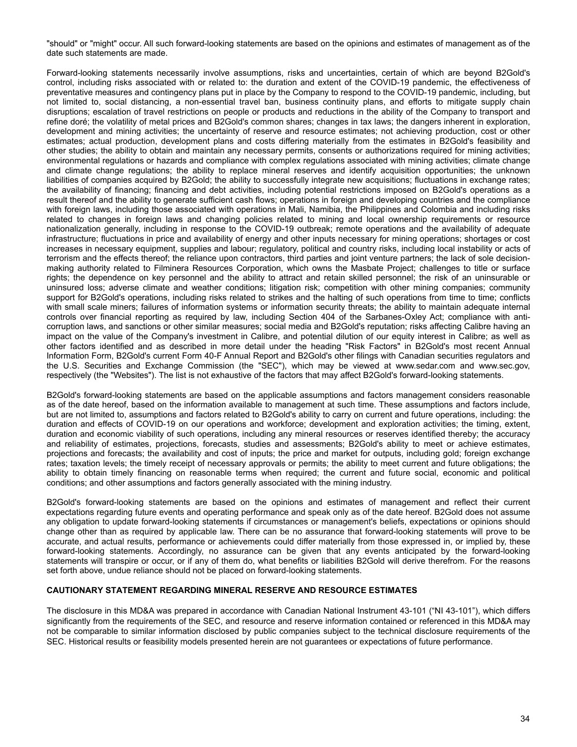"should" or "might" occur. All such forward-looking statements are based on the opinions and estimates of management as of the date such statements are made.

Forward-looking statements necessarily involve assumptions, risks and uncertainties, certain of which are beyond B2Gold's control, including risks associated with or related to: the duration and extent of the COVID-19 pandemic, the effectiveness of preventative measures and contingency plans put in place by the Company to respond to the COVID-19 pandemic, including, but not limited to, social distancing, a non-essential travel ban, business continuity plans, and efforts to mitigate supply chain disruptions; escalation of travel restrictions on people or products and reductions in the ability of the Company to transport and refine doré; the volatility of metal prices and B2Gold's common shares; changes in tax laws; the dangers inherent in exploration, development and mining activities; the uncertainty of reserve and resource estimates; not achieving production, cost or other estimates; actual production, development plans and costs differing materially from the estimates in B2Gold's feasibility and other studies; the ability to obtain and maintain any necessary permits, consents or authorizations required for mining activities; environmental regulations or hazards and compliance with complex regulations associated with mining activities; climate change and climate change regulations; the ability to replace mineral reserves and identify acquisition opportunities; the unknown liabilities of companies acquired by B2Gold; the ability to successfully integrate new acquisitions; fluctuations in exchange rates; the availability of financing; financing and debt activities, including potential restrictions imposed on B2Gold's operations as a result thereof and the ability to generate sufficient cash flows; operations in foreign and developing countries and the compliance with foreign laws, including those associated with operations in Mali, Namibia, the Philippines and Colombia and including risks related to changes in foreign laws and changing policies related to mining and local ownership requirements or resource nationalization generally, including in response to the COVID-19 outbreak; remote operations and the availability of adequate infrastructure; fluctuations in price and availability of energy and other inputs necessary for mining operations; shortages or cost increases in necessary equipment, supplies and labour; regulatory, political and country risks, including local instability or acts of terrorism and the effects thereof; the reliance upon contractors, third parties and joint venture partners; the lack of sole decisionmaking authority related to Filminera Resources Corporation, which owns the Masbate Project; challenges to title or surface rights; the dependence on key personnel and the ability to attract and retain skilled personnel; the risk of an uninsurable or uninsured loss; adverse climate and weather conditions; litigation risk; competition with other mining companies; community support for B2Gold's operations, including risks related to strikes and the halting of such operations from time to time; conflicts with small scale miners; failures of information systems or information security threats; the ability to maintain adequate internal controls over financial reporting as required by law, including Section 404 of the Sarbanes-Oxley Act; compliance with anticorruption laws, and sanctions or other similar measures; social media and B2Gold's reputation; risks affecting Calibre having an impact on the value of the Company's investment in Calibre, and potential dilution of our equity interest in Calibre; as well as other factors identified and as described in more detail under the heading "Risk Factors" in B2Gold's most recent Annual Information Form, B2Gold's current Form 40-F Annual Report and B2Gold's other filings with Canadian securities regulators and the U.S. Securities and Exchange Commission (the "SEC"), which may be viewed at www.sedar.com and www.sec.gov, respectively (the "Websites"). The list is not exhaustive of the factors that may affect B2Gold's forward-looking statements.

B2Gold's forward-looking statements are based on the applicable assumptions and factors management considers reasonable as of the date hereof, based on the information available to management at such time. These assumptions and factors include, but are not limited to, assumptions and factors related to B2Gold's ability to carry on current and future operations, including: the duration and effects of COVID-19 on our operations and workforce; development and exploration activities; the timing, extent, duration and economic viability of such operations, including any mineral resources or reserves identified thereby; the accuracy and reliability of estimates, projections, forecasts, studies and assessments; B2Gold's ability to meet or achieve estimates, projections and forecasts; the availability and cost of inputs; the price and market for outputs, including gold; foreign exchange rates; taxation levels; the timely receipt of necessary approvals or permits; the ability to meet current and future obligations; the ability to obtain timely financing on reasonable terms when required; the current and future social, economic and political conditions; and other assumptions and factors generally associated with the mining industry.

B2Gold's forward-looking statements are based on the opinions and estimates of management and reflect their current expectations regarding future events and operating performance and speak only as of the date hereof. B2Gold does not assume any obligation to update forward-looking statements if circumstances or management's beliefs, expectations or opinions should change other than as required by applicable law. There can be no assurance that forward-looking statements will prove to be accurate, and actual results, performance or achievements could differ materially from those expressed in, or implied by, these forward-looking statements. Accordingly, no assurance can be given that any events anticipated by the forward-looking statements will transpire or occur, or if any of them do, what benefits or liabilities B2Gold will derive therefrom. For the reasons set forth above, undue reliance should not be placed on forward-looking statements.

# **CAUTIONARY STATEMENT REGARDING MINERAL RESERVE AND RESOURCE ESTIMATES**

The disclosure in this MD&A was prepared in accordance with Canadian National Instrument 43-101 ("NI 43-101"), which differs significantly from the requirements of the SEC, and resource and reserve information contained or referenced in this MD&A may not be comparable to similar information disclosed by public companies subject to the technical disclosure requirements of the SEC. Historical results or feasibility models presented herein are not guarantees or expectations of future performance.